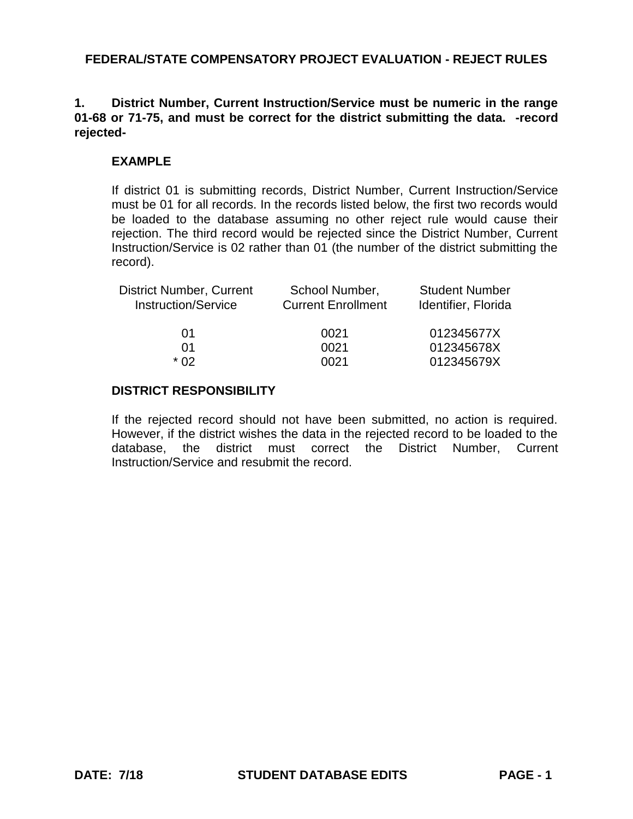## **1. District Number, Current Instruction/Service must be numeric in the range 01-68 or 71-75, and must be correct for the district submitting the data. -record rejected-**

## **EXAMPLE**

If district 01 is submitting records, District Number, Current Instruction/Service must be 01 for all records. In the records listed below, the first two records would be loaded to the database assuming no other reject rule would cause their rejection. The third record would be rejected since the District Number, Current Instruction/Service is 02 rather than 01 (the number of the district submitting the record).

| School Number,<br><b>Current Enrollment</b> | <b>Student Number</b><br>Identifier, Florida |
|---------------------------------------------|----------------------------------------------|
| 0021                                        | 012345677X                                   |
| 0021                                        | 012345678X                                   |
| 0021                                        | 012345679X                                   |
|                                             |                                              |

### **DISTRICT RESPONSIBILITY**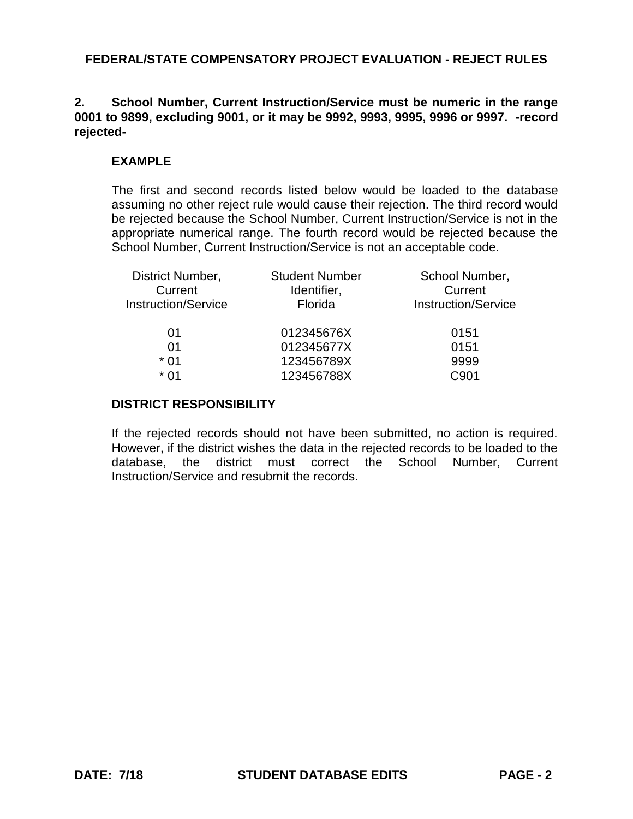## **2. School Number, Current Instruction/Service must be numeric in the range 0001 to 9899, excluding 9001, or it may be 9992, 9993, 9995, 9996 or 9997. -record rejected-**

# **EXAMPLE**

The first and second records listed below would be loaded to the database assuming no other reject rule would cause their rejection. The third record would be rejected because the School Number, Current Instruction/Service is not in the appropriate numerical range. The fourth record would be rejected because the School Number, Current Instruction/Service is not an acceptable code.

| <b>Student Number</b> | School Number,             |
|-----------------------|----------------------------|
| Identifier,           | Current                    |
| Florida               | <b>Instruction/Service</b> |
| 012345676X            | 0151                       |
| 012345677X            | 0151                       |
| 123456789X            | 9999                       |
| 123456788X            | C901                       |
|                       |                            |

## **DISTRICT RESPONSIBILITY**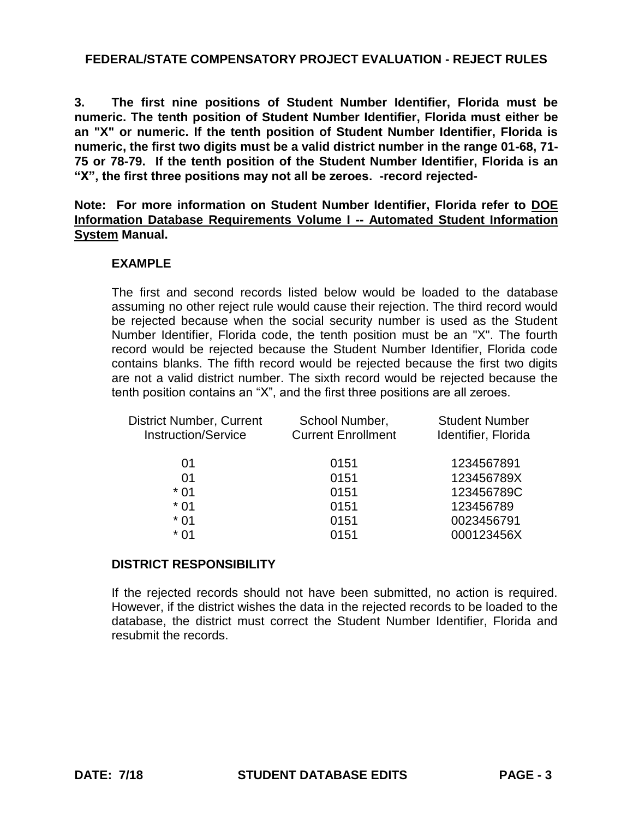**3. The first nine positions of Student Number Identifier, Florida must be numeric. The tenth position of Student Number Identifier, Florida must either be an "X" or numeric. If the tenth position of Student Number Identifier, Florida is numeric, the first two digits must be a valid district number in the range 01-68, 71- 75 or 78-79. If the tenth position of the Student Number Identifier, Florida is an "X", the first three positions may not all be zeroes. -record rejected-**

**Note: For more information on Student Number Identifier, Florida refer to DOE Information Database Requirements Volume I -- Automated Student Information System Manual.**

# **EXAMPLE**

The first and second records listed below would be loaded to the database assuming no other reject rule would cause their rejection. The third record would be rejected because when the social security number is used as the Student Number Identifier, Florida code, the tenth position must be an "X". The fourth record would be rejected because the Student Number Identifier, Florida code contains blanks. The fifth record would be rejected because the first two digits are not a valid district number. The sixth record would be rejected because the tenth position contains an "X", and the first three positions are all zeroes.

| <b>District Number, Current</b><br><b>Instruction/Service</b> | School Number,<br><b>Current Enrollment</b> | <b>Student Number</b><br>Identifier, Florida |
|---------------------------------------------------------------|---------------------------------------------|----------------------------------------------|
| 01                                                            | 0151                                        | 1234567891                                   |
| 01                                                            | 0151                                        | 123456789X                                   |
| $*01$                                                         | 0151                                        | 123456789C                                   |
| $*01$                                                         | 0151                                        | 123456789                                    |
| $*01$                                                         | 0151                                        | 0023456791                                   |
| * በ1                                                          | 0151                                        | 000123456X                                   |
|                                                               |                                             |                                              |

#### **DISTRICT RESPONSIBILITY**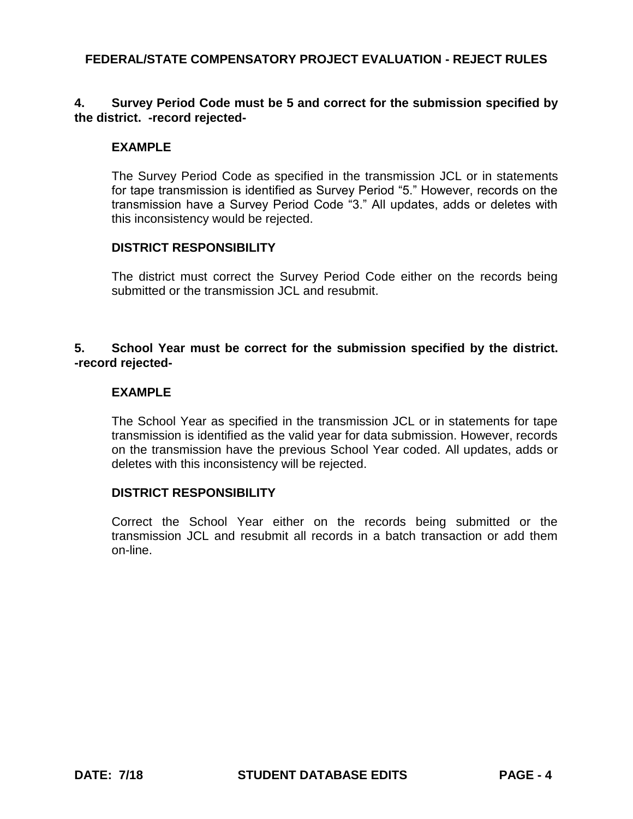## **4. Survey Period Code must be 5 and correct for the submission specified by the district. -record rejected-**

## **EXAMPLE**

The Survey Period Code as specified in the transmission JCL or in statements for tape transmission is identified as Survey Period "5." However, records on the transmission have a Survey Period Code "3." All updates, adds or deletes with this inconsistency would be rejected.

### **DISTRICT RESPONSIBILITY**

The district must correct the Survey Period Code either on the records being submitted or the transmission JCL and resubmit.

## **5. School Year must be correct for the submission specified by the district. -record rejected-**

### **EXAMPLE**

The School Year as specified in the transmission JCL or in statements for tape transmission is identified as the valid year for data submission. However, records on the transmission have the previous School Year coded. All updates, adds or deletes with this inconsistency will be rejected.

#### **DISTRICT RESPONSIBILITY**

Correct the School Year either on the records being submitted or the transmission JCL and resubmit all records in a batch transaction or add them on-line.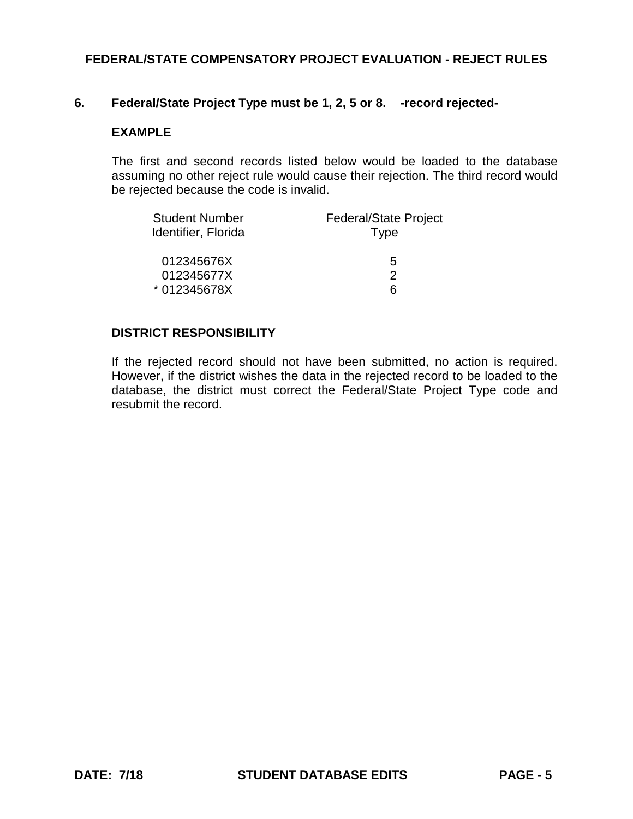# **6. Federal/State Project Type must be 1, 2, 5 or 8. -record rejected-**

### **EXAMPLE**

The first and second records listed below would be loaded to the database assuming no other reject rule would cause their rejection. The third record would be rejected because the code is invalid.

| <b>Student Number</b> | <b>Federal/State Project</b> |
|-----------------------|------------------------------|
| Identifier, Florida   | <b>Type</b>                  |
| 012345676X            | 5                            |
| 012345677X            | 2                            |
| * 012345678X          | ิค                           |

## **DISTRICT RESPONSIBILITY**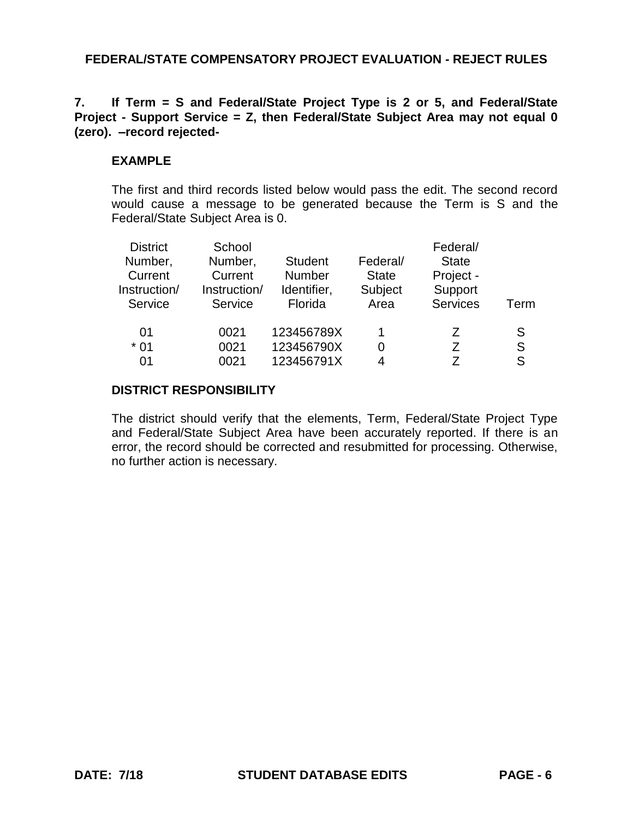## **7. If Term = S and Federal/State Project Type is 2 or 5, and Federal/State Project - Support Service = Z, then Federal/State Subject Area may not equal 0 (zero). –record rejected-**

## **EXAMPLE**

The first and third records listed below would pass the edit. The second record would cause a message to be generated because the Term is S and the Federal/State Subject Area is 0.

| <b>District</b><br>Number,<br>Current<br>Instruction/<br>Service | School<br>Number,<br>Current<br>Instruction/<br>Service | <b>Student</b><br><b>Number</b><br>Identifier,<br>Florida | Federal/<br><b>State</b><br>Subject<br>Area | Federal/<br><b>State</b><br>Project -<br>Support<br><b>Services</b> | Term |
|------------------------------------------------------------------|---------------------------------------------------------|-----------------------------------------------------------|---------------------------------------------|---------------------------------------------------------------------|------|
| 01                                                               | 0021                                                    | 123456789X                                                |                                             | Z                                                                   | S    |
| $*01$                                                            | 0021                                                    | 123456790X                                                |                                             | 7                                                                   | S    |
| 01                                                               | 0021                                                    | 123456791X                                                | Λ                                           |                                                                     | S    |

## **DISTRICT RESPONSIBILITY**

The district should verify that the elements, Term, Federal/State Project Type and Federal/State Subject Area have been accurately reported. If there is an error, the record should be corrected and resubmitted for processing. Otherwise, no further action is necessary.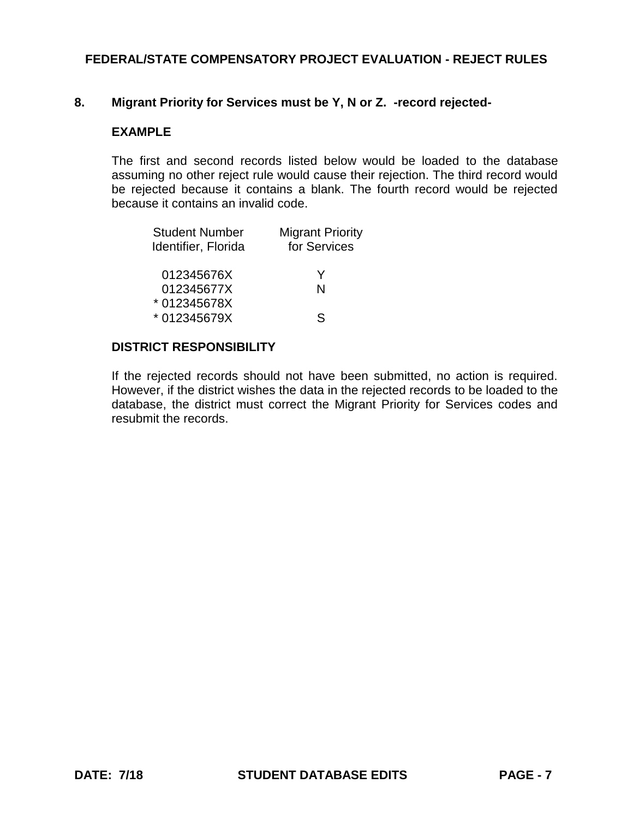### **8. Migrant Priority for Services must be Y, N or Z. -record rejected-**

### **EXAMPLE**

The first and second records listed below would be loaded to the database assuming no other reject rule would cause their rejection. The third record would be rejected because it contains a blank. The fourth record would be rejected because it contains an invalid code.

| <b>Migrant Priority</b><br>for Services |  |
|-----------------------------------------|--|
| Y                                       |  |
| N                                       |  |
|                                         |  |
| S                                       |  |
|                                         |  |

#### **DISTRICT RESPONSIBILITY**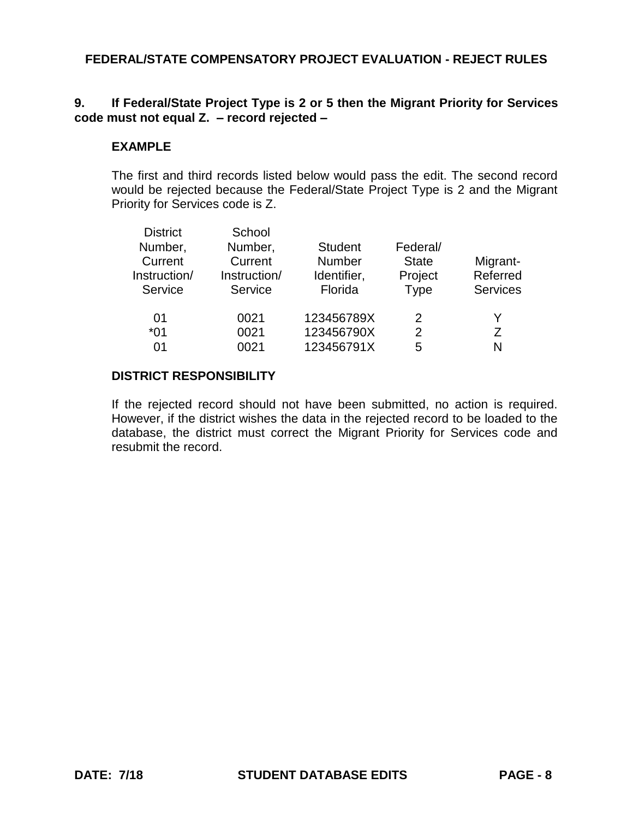## **9. If Federal/State Project Type is 2 or 5 then the Migrant Priority for Services code must not equal Z. – record rejected –**

## **EXAMPLE**

The first and third records listed below would pass the edit. The second record would be rejected because the Federal/State Project Type is 2 and the Migrant Priority for Services code is Z.

| <b>District</b> | School       |                |              |                 |
|-----------------|--------------|----------------|--------------|-----------------|
| Number,         | Number,      | <b>Student</b> | Federal/     |                 |
| Current         | Current      | Number         | <b>State</b> | Migrant-        |
| Instruction/    | Instruction/ | Identifier,    | Project      | Referred        |
| Service         | Service      | Florida        | <b>Type</b>  | <b>Services</b> |
| 01              | 0021         | 123456789X     | 2            | Y               |
| $*01$           | 0021         | 123456790X     | 2            | 7               |
| 01              | 0021         | 123456791X     | 5            | N               |
|                 |              |                |              |                 |

## **DISTRICT RESPONSIBILITY**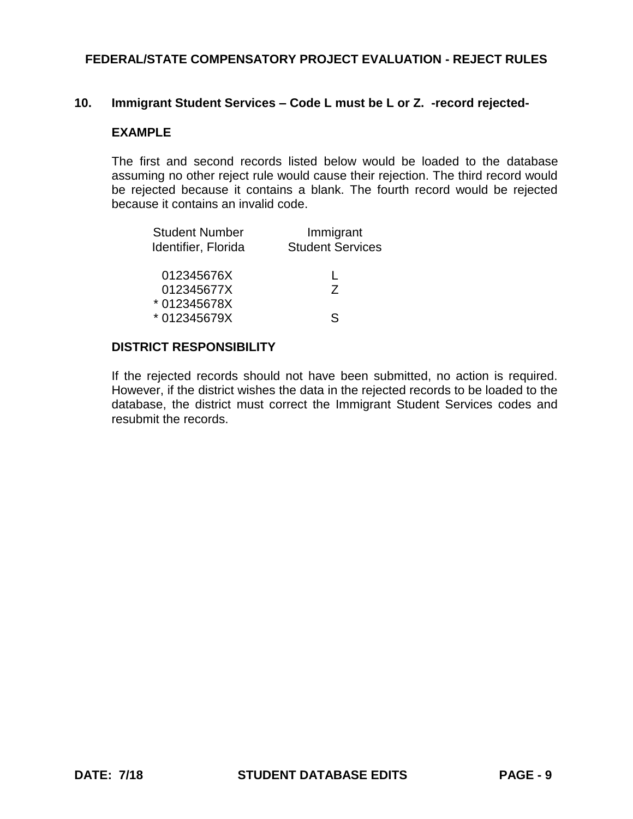### **10. Immigrant Student Services – Code L must be L or Z. -record rejected-**

#### **EXAMPLE**

The first and second records listed below would be loaded to the database assuming no other reject rule would cause their rejection. The third record would be rejected because it contains a blank. The fourth record would be rejected because it contains an invalid code.

| <b>Student Number</b><br>Identifier, Florida | Immigrant<br><b>Student Services</b> |  |
|----------------------------------------------|--------------------------------------|--|
| 012345676X                                   |                                      |  |
| 012345677X                                   | Z.                                   |  |
| * 012345678X                                 |                                      |  |
| * 012345679X                                 | ς                                    |  |

#### **DISTRICT RESPONSIBILITY**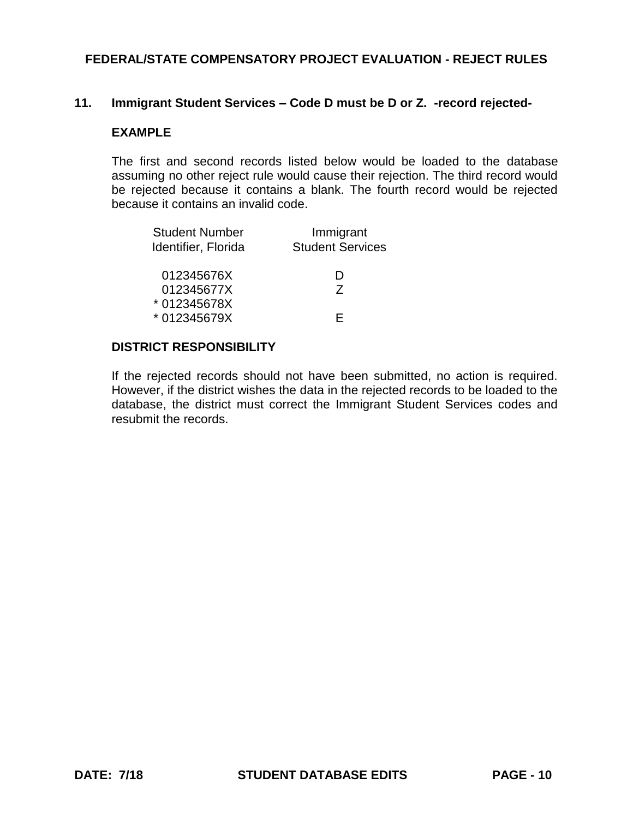### **11. Immigrant Student Services – Code D must be D or Z. -record rejected-**

#### **EXAMPLE**

The first and second records listed below would be loaded to the database assuming no other reject rule would cause their rejection. The third record would be rejected because it contains a blank. The fourth record would be rejected because it contains an invalid code.

| <b>Student Number</b><br>Identifier, Florida | Immigrant<br><b>Student Services</b> |
|----------------------------------------------|--------------------------------------|
| 012345676X                                   | נו                                   |
| 012345677X                                   | 7                                    |
| *012345678X                                  |                                      |
| * 012345679X                                 | ⊢                                    |

#### **DISTRICT RESPONSIBILITY**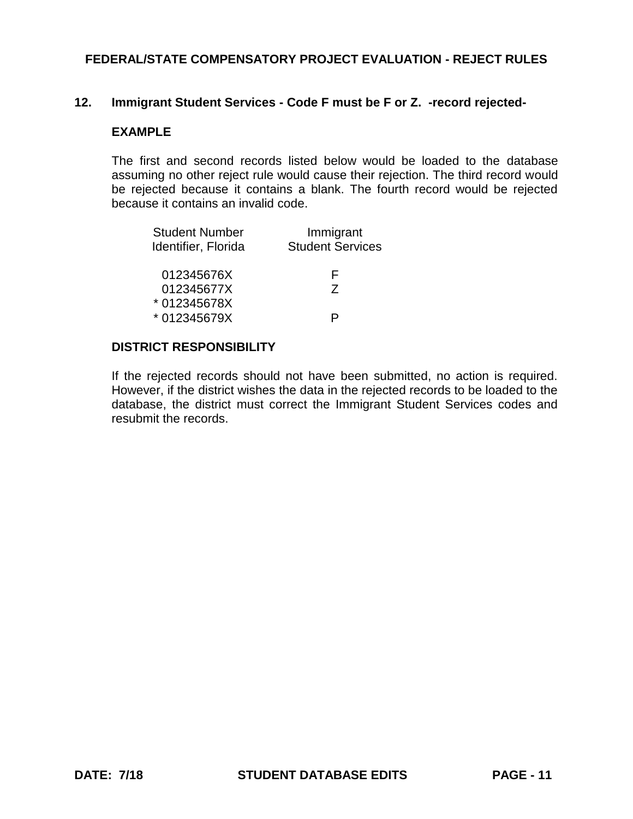### **12. Immigrant Student Services - Code F must be F or Z. -record rejected-**

### **EXAMPLE**

The first and second records listed below would be loaded to the database assuming no other reject rule would cause their rejection. The third record would be rejected because it contains a blank. The fourth record would be rejected because it contains an invalid code.

| <b>Student Number</b><br>Identifier, Florida | Immigrant<br><b>Student Services</b> |
|----------------------------------------------|--------------------------------------|
| 012345676X                                   | н                                    |
| 012345677X<br>* 012345678X                   | 7                                    |
| * 012345679X                                 |                                      |

### **DISTRICT RESPONSIBILITY**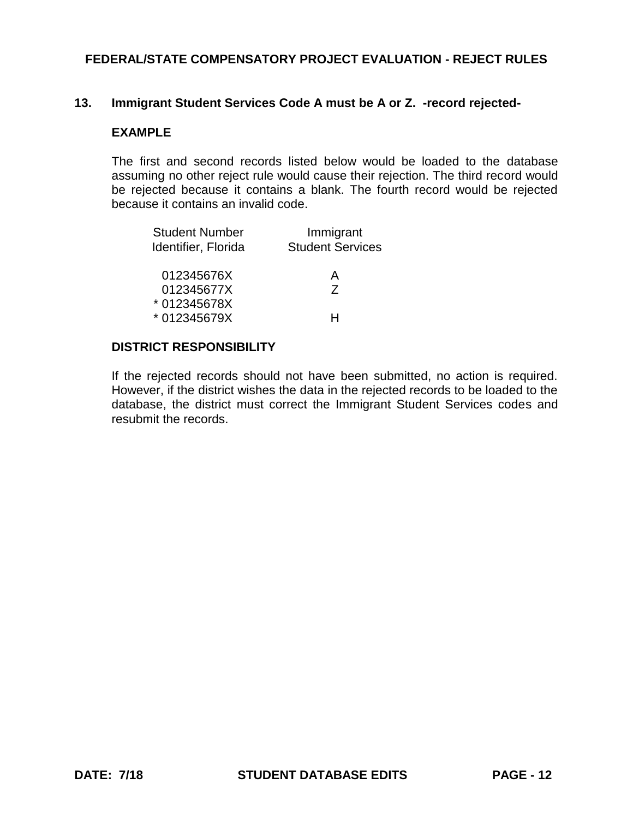### **13. Immigrant Student Services Code A must be A or Z. -record rejected-**

### **EXAMPLE**

The first and second records listed below would be loaded to the database assuming no other reject rule would cause their rejection. The third record would be rejected because it contains a blank. The fourth record would be rejected because it contains an invalid code.

| <b>Student Number</b><br>Identifier, Florida | Immigrant<br><b>Student Services</b> |
|----------------------------------------------|--------------------------------------|
| 012345676X                                   | А                                    |
| 012345677X                                   | 7                                    |
| *012345678X                                  |                                      |
| * 012345679X                                 |                                      |

### **DISTRICT RESPONSIBILITY**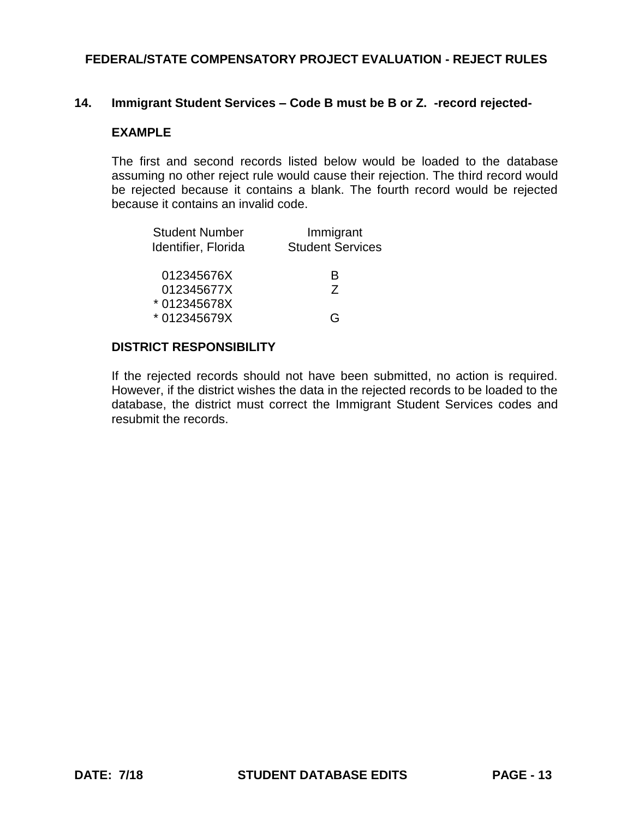### **14. Immigrant Student Services – Code B must be B or Z. -record rejected-**

### **EXAMPLE**

The first and second records listed below would be loaded to the database assuming no other reject rule would cause their rejection. The third record would be rejected because it contains a blank. The fourth record would be rejected because it contains an invalid code.

| <b>Student Number</b><br>Identifier, Florida | Immigrant<br><b>Student Services</b> |
|----------------------------------------------|--------------------------------------|
| 012345676X                                   | B                                    |
| 012345677X                                   | 7                                    |
| *012345678X                                  |                                      |
| * 012345679X                                 | ( –                                  |

### **DISTRICT RESPONSIBILITY**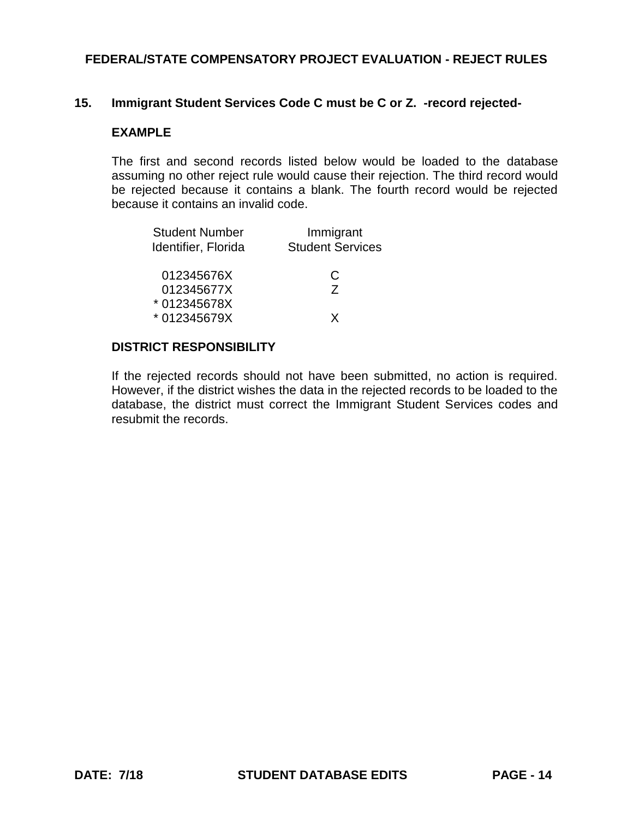### **15. Immigrant Student Services Code C must be C or Z. -record rejected-**

### **EXAMPLE**

The first and second records listed below would be loaded to the database assuming no other reject rule would cause their rejection. The third record would be rejected because it contains a blank. The fourth record would be rejected because it contains an invalid code.

| <b>Student Number</b><br>Identifier, Florida | Immigrant<br><b>Student Services</b> |
|----------------------------------------------|--------------------------------------|
| 012345676X                                   | C                                    |
| 012345677X                                   | 7                                    |
| * 012345678X                                 |                                      |
| * 012345679X                                 | x                                    |

### **DISTRICT RESPONSIBILITY**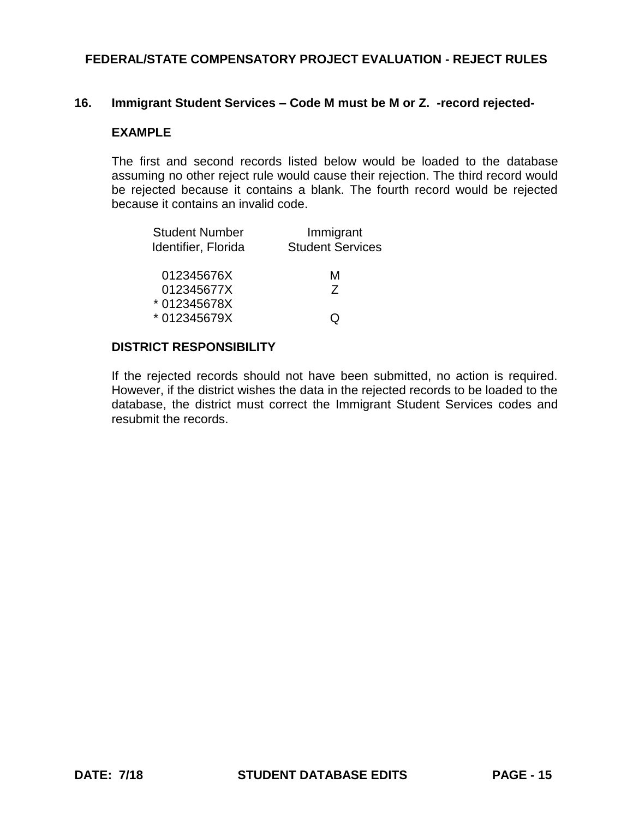### **16. Immigrant Student Services – Code M must be M or Z. -record rejected-**

#### **EXAMPLE**

The first and second records listed below would be loaded to the database assuming no other reject rule would cause their rejection. The third record would be rejected because it contains a blank. The fourth record would be rejected because it contains an invalid code.

| <b>Student Number</b><br>Identifier, Florida | Immigrant<br><b>Student Services</b> |
|----------------------------------------------|--------------------------------------|
| 012345676X                                   | м                                    |
| 012345677X                                   | 7                                    |
| * 012345678X                                 |                                      |
| * 012345679X                                 |                                      |

#### **DISTRICT RESPONSIBILITY**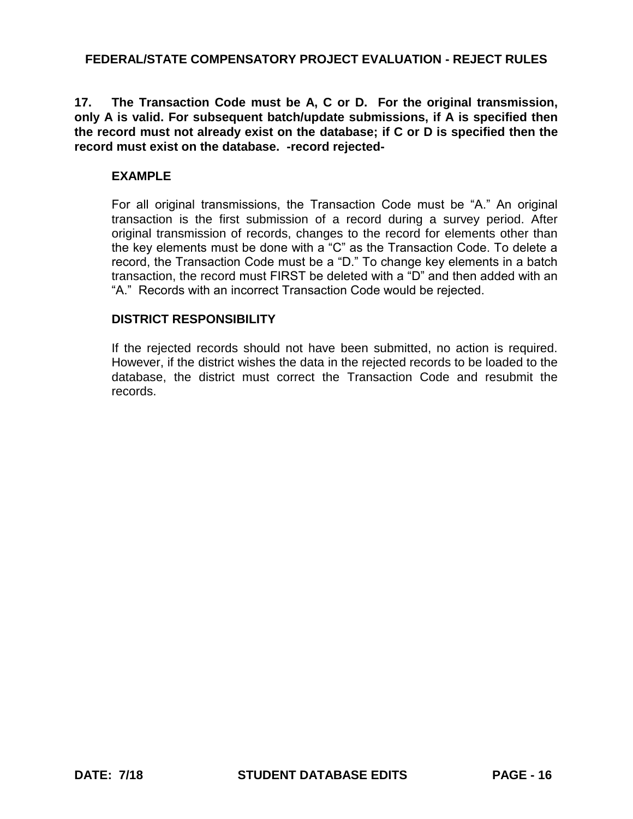**17. The Transaction Code must be A, C or D. For the original transmission, only A is valid. For subsequent batch/update submissions, if A is specified then the record must not already exist on the database; if C or D is specified then the record must exist on the database. -record rejected-**

## **EXAMPLE**

For all original transmissions, the Transaction Code must be "A." An original transaction is the first submission of a record during a survey period. After original transmission of records, changes to the record for elements other than the key elements must be done with a "C" as the Transaction Code. To delete a record, the Transaction Code must be a "D." To change key elements in a batch transaction, the record must FIRST be deleted with a "D" and then added with an "A." Records with an incorrect Transaction Code would be rejected.

## **DISTRICT RESPONSIBILITY**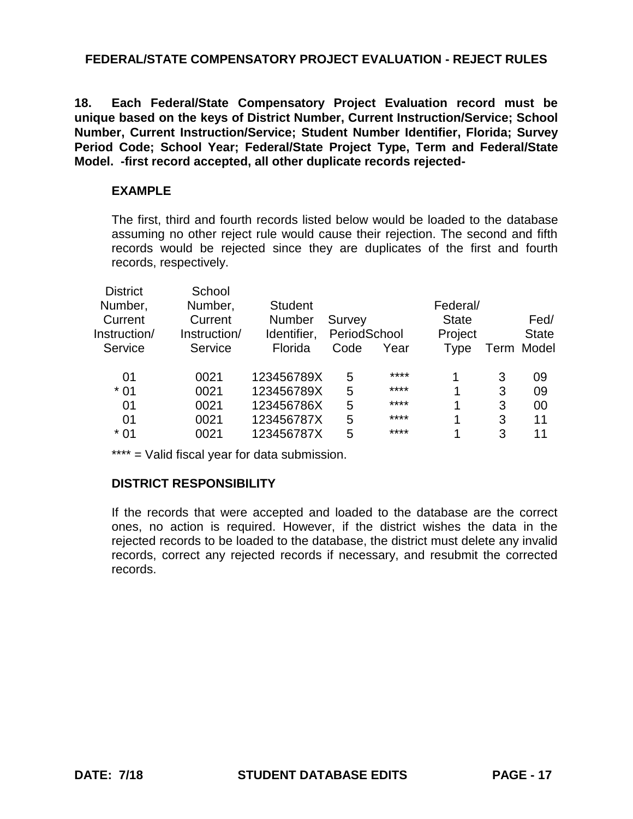**18. Each Federal/State Compensatory Project Evaluation record must be unique based on the keys of District Number, Current Instruction/Service; School Number, Current Instruction/Service; Student Number Identifier, Florida; Survey Period Code; School Year; Federal/State Project Type, Term and Federal/State Model. -first record accepted, all other duplicate records rejected-**

### **EXAMPLE**

The first, third and fourth records listed below would be loaded to the database assuming no other reject rule would cause their rejection. The second and fifth records would be rejected since they are duplicates of the first and fourth records, respectively.

| <b>District</b> | School       |                |              |      |              |   |              |
|-----------------|--------------|----------------|--------------|------|--------------|---|--------------|
| Number,         | Number,      | <b>Student</b> |              |      | Federal/     |   |              |
| Current         | Current      | <b>Number</b>  | Survey       |      | <b>State</b> |   | Fed/         |
| Instruction/    | Instruction/ | Identifier,    | PeriodSchool |      | Project      |   | <b>State</b> |
| Service         | Service      | Florida        | Code         | Year | Type         |   | Term Model   |
|                 |              |                |              |      |              |   |              |
| 01              | 0021         | 123456789X     | 5            | **** | 1            | 3 | 09           |
| $*01$           | 0021         | 123456789X     | 5            | **** | 1            | 3 | 09           |
| 01              | 0021         | 123456786X     | 5            | **** | 1            | 3 | 00           |
| 01              | 0021         | 123456787X     | 5            | **** | 1            | 3 | 11           |
| $*01$           | 0021         | 123456787X     | 5            | **** | 1            | 3 | 11           |
|                 |              |                |              |      |              |   |              |

\*\*\*\* = Valid fiscal year for data submission.

## **DISTRICT RESPONSIBILITY**

If the records that were accepted and loaded to the database are the correct ones, no action is required. However, if the district wishes the data in the rejected records to be loaded to the database, the district must delete any invalid records, correct any rejected records if necessary, and resubmit the corrected records.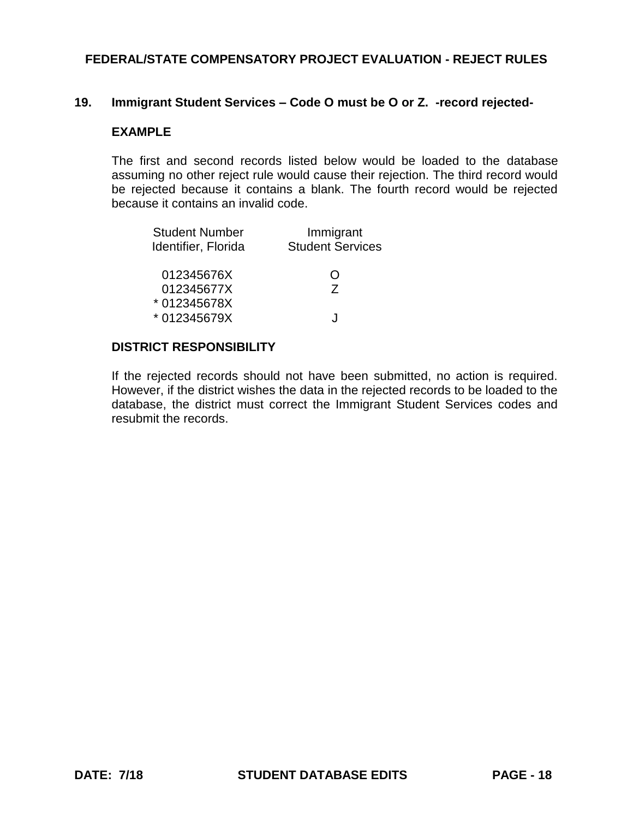### **19. Immigrant Student Services – Code O must be O or Z. -record rejected-**

### **EXAMPLE**

The first and second records listed below would be loaded to the database assuming no other reject rule would cause their rejection. The third record would be rejected because it contains a blank. The fourth record would be rejected because it contains an invalid code.

| <b>Student Number</b> | Immigrant               |
|-----------------------|-------------------------|
| Identifier, Florida   | <b>Student Services</b> |
| 012345676X            | ( )                     |
| 012345677X            | 7                       |
| * 012345678X          |                         |
| * 012345679X          |                         |

### **DISTRICT RESPONSIBILITY**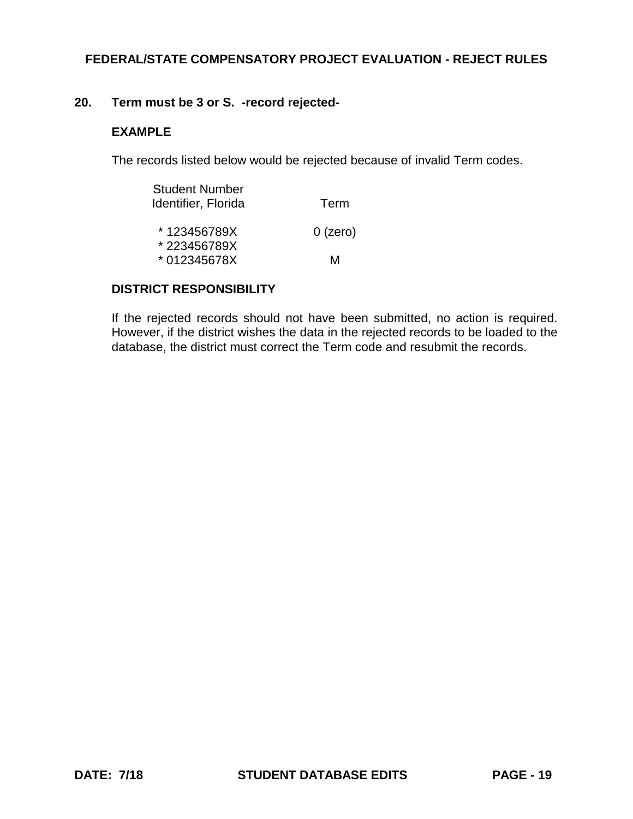### **20. Term must be 3 or S. -record rejected-**

### **EXAMPLE**

The records listed below would be rejected because of invalid Term codes.

| <b>Student Number</b><br>Identifier, Florida | Term       |
|----------------------------------------------|------------|
| *123456789X                                  | $0$ (zero) |
| *223456789X<br>*012345678X                   | M          |

## **DISTRICT RESPONSIBILITY**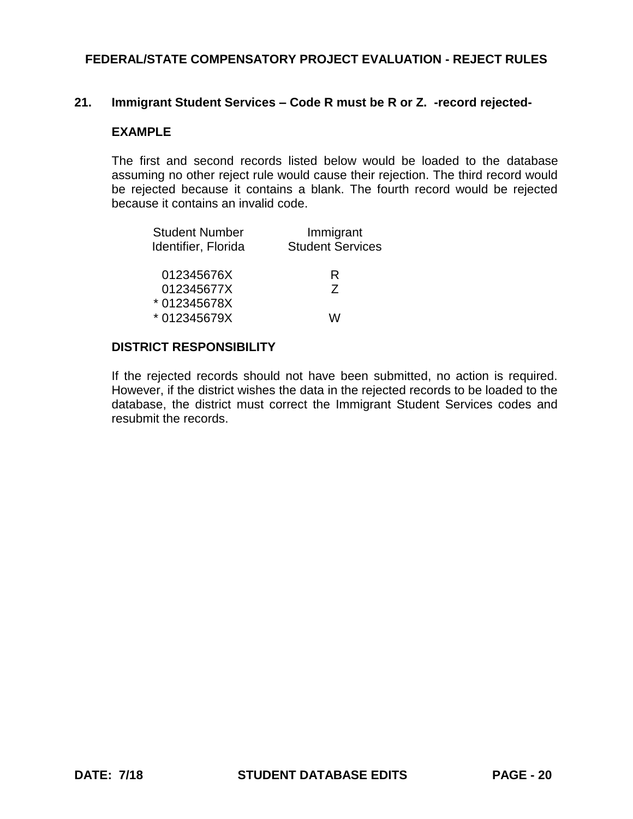### **21. Immigrant Student Services – Code R must be R or Z. -record rejected-**

### **EXAMPLE**

The first and second records listed below would be loaded to the database assuming no other reject rule would cause their rejection. The third record would be rejected because it contains a blank. The fourth record would be rejected because it contains an invalid code.

| <b>Student Number</b><br>Identifier, Florida | Immigrant<br><b>Student Services</b> |
|----------------------------------------------|--------------------------------------|
| 012345676X                                   | R                                    |
| 012345677X<br>*012345678X                    | 7                                    |
| * 012345679X                                 |                                      |

### **DISTRICT RESPONSIBILITY**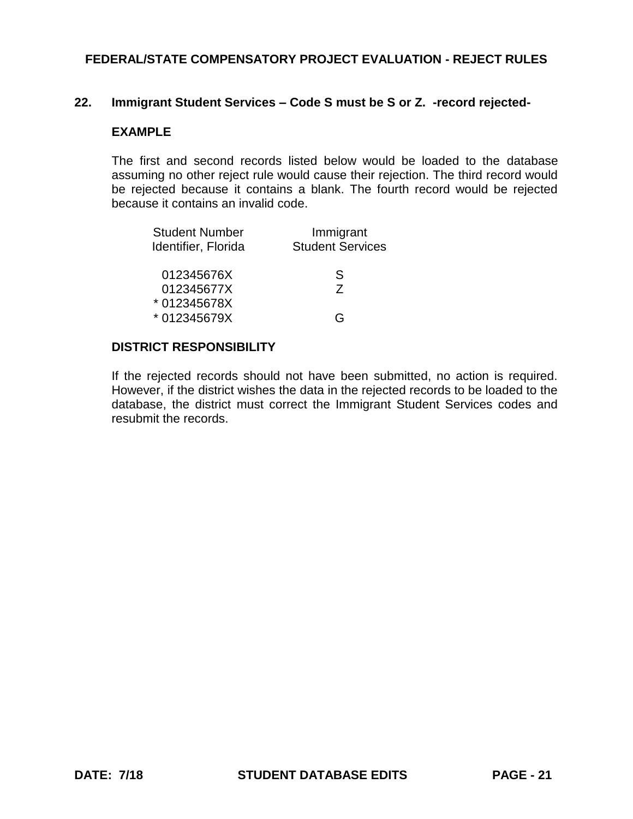### **22. Immigrant Student Services – Code S must be S or Z. -record rejected-**

#### **EXAMPLE**

The first and second records listed below would be loaded to the database assuming no other reject rule would cause their rejection. The third record would be rejected because it contains a blank. The fourth record would be rejected because it contains an invalid code.

| <b>Student Number</b><br>Identifier, Florida | Immigrant<br><b>Student Services</b> |
|----------------------------------------------|--------------------------------------|
| 012345676X                                   | S                                    |
| 012345677X                                   | 7                                    |
| *012345678X                                  |                                      |
| * 012345679X                                 | ( –                                  |

#### **DISTRICT RESPONSIBILITY**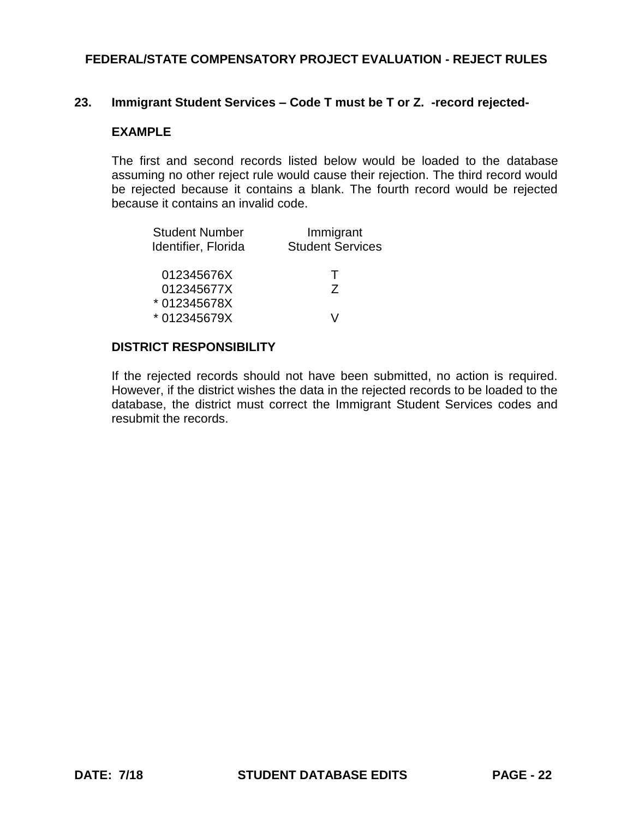### **23. Immigrant Student Services – Code T must be T or Z. -record rejected-**

### **EXAMPLE**

The first and second records listed below would be loaded to the database assuming no other reject rule would cause their rejection. The third record would be rejected because it contains a blank. The fourth record would be rejected because it contains an invalid code.

| <b>Student Number</b><br>Identifier, Florida | Immigrant<br><b>Student Services</b> |
|----------------------------------------------|--------------------------------------|
| 012345676X                                   | $\mathbf{I}$                         |
| 012345677X                                   | 7                                    |
| * 012345678X                                 |                                      |
| * 012345679X                                 |                                      |

#### **DISTRICT RESPONSIBILITY**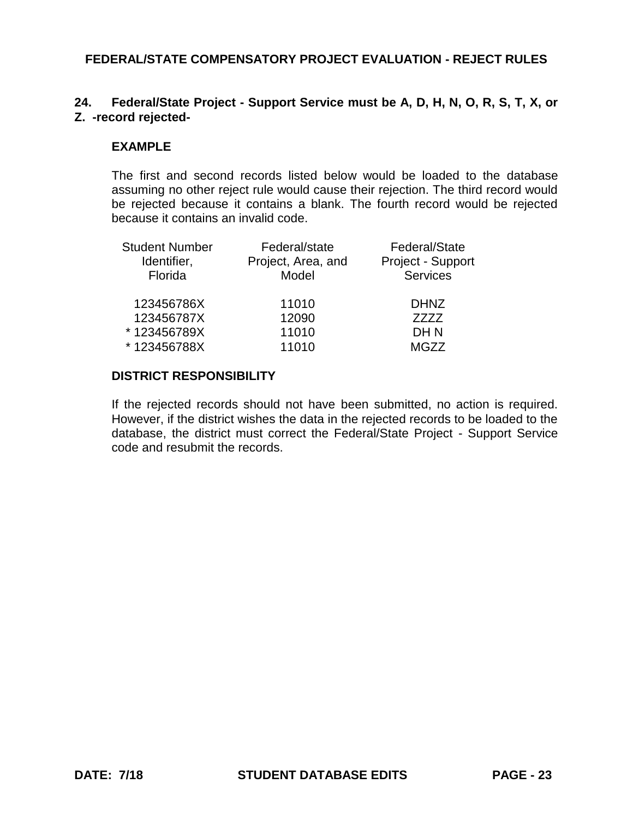## **24. Federal/State Project - Support Service must be A, D, H, N, O, R, S, T, X, or Z. -record rejected-**

### **EXAMPLE**

The first and second records listed below would be loaded to the database assuming no other reject rule would cause their rejection. The third record would be rejected because it contains a blank. The fourth record would be rejected because it contains an invalid code.

| <b>Student Number</b> | Federal/state      | Federal/State     |
|-----------------------|--------------------|-------------------|
| Identifier,           | Project, Area, and | Project - Support |
| Florida               | Model              | <b>Services</b>   |
| 123456786X            | 11010              | <b>DHNZ</b>       |
| 123456787X            | 12090              | 7777              |
| *123456789X           | 11010              | DH N              |
| *123456788X           | 11010              | MGZZ              |

## **DISTRICT RESPONSIBILITY**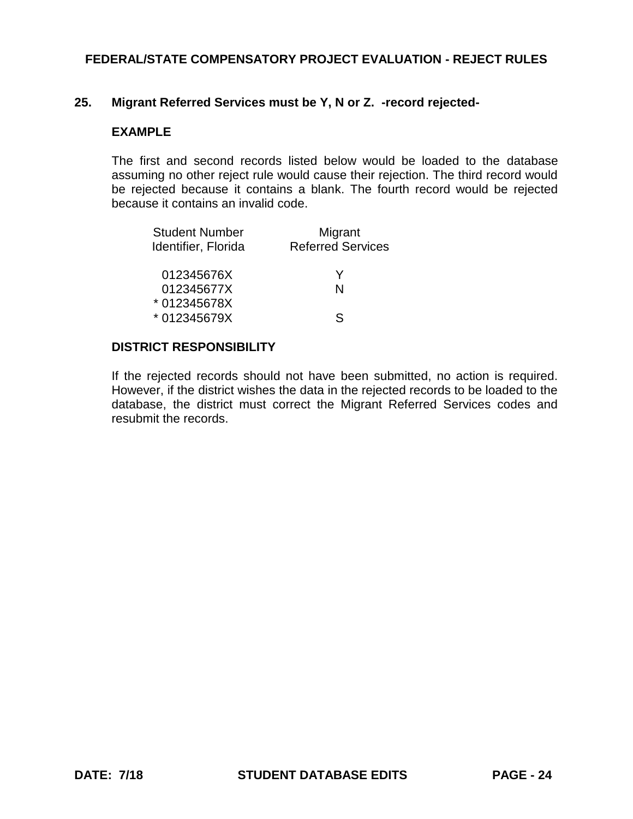### **25. Migrant Referred Services must be Y, N or Z. -record rejected-**

#### **EXAMPLE**

The first and second records listed below would be loaded to the database assuming no other reject rule would cause their rejection. The third record would be rejected because it contains a blank. The fourth record would be rejected because it contains an invalid code.

| <b>Student Number</b><br>Identifier, Florida | Migrant<br><b>Referred Services</b> |
|----------------------------------------------|-------------------------------------|
| 012345676X                                   | Y                                   |
| 012345677X                                   | N                                   |
| * 012345678X                                 |                                     |
| * 012345679X                                 | 9                                   |

### **DISTRICT RESPONSIBILITY**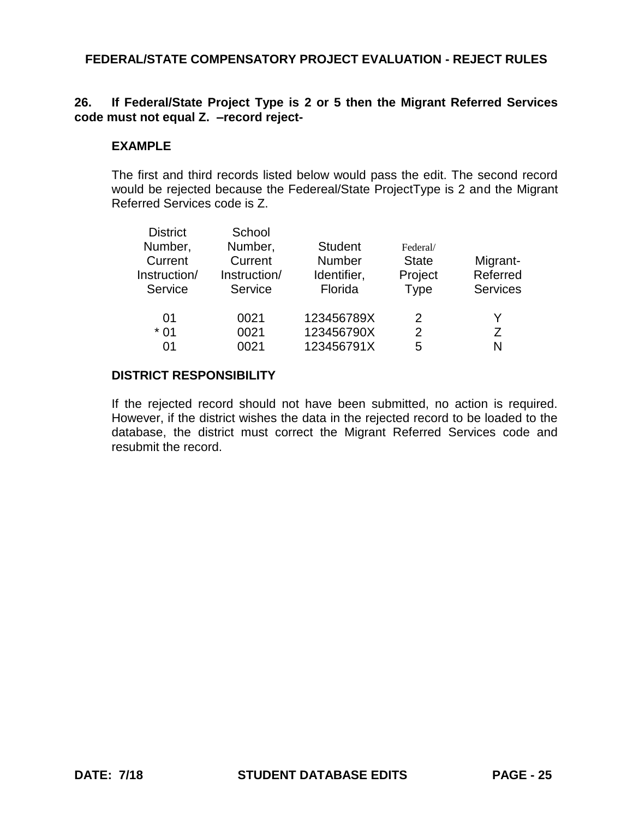## **26. If Federal/State Project Type is 2 or 5 then the Migrant Referred Services code must not equal Z. –record reject-**

### **EXAMPLE**

The first and third records listed below would pass the edit. The second record would be rejected because the Federeal/State ProjectType is 2 and the Migrant Referred Services code is Z.

| <b>District</b> | School       |                |               |                 |
|-----------------|--------------|----------------|---------------|-----------------|
| Number,         | Number,      | <b>Student</b> | Federal/      |                 |
| Current         | Current      | <b>Number</b>  | <b>State</b>  | Migrant-        |
| Instruction/    | Instruction/ | Identifier,    | Project       | Referred        |
| Service         | Service      | Florida        | <b>Type</b>   | <b>Services</b> |
| 01              | 0021         | 123456789X     | $\mathcal{P}$ | Y               |
| $*01$           | 0021         | 123456790X     | 2             | Ζ               |
| 01              | 0021         | 123456791X     | 5             | N               |
|                 |              |                |               |                 |

## **DISTRICT RESPONSIBILITY**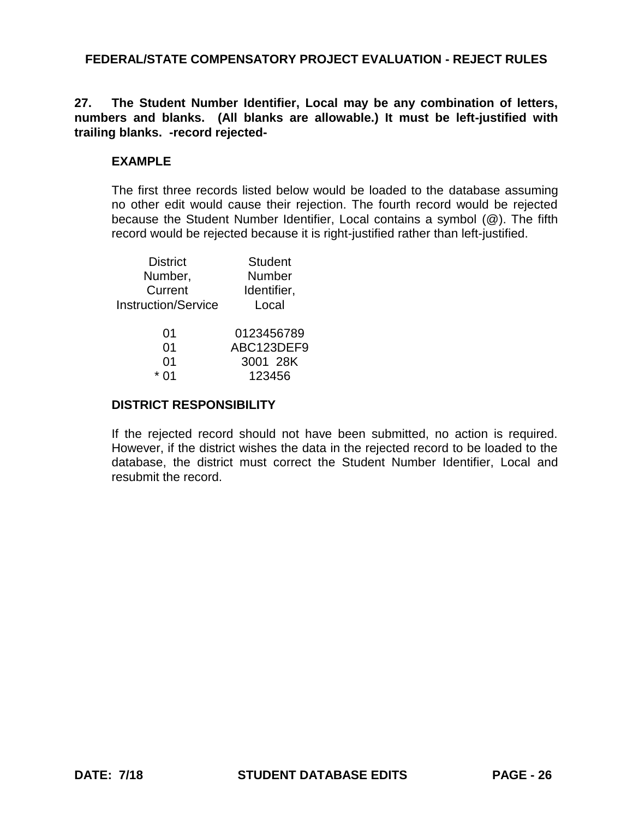**27. The Student Number Identifier, Local may be any combination of letters, numbers and blanks. (All blanks are allowable.) It must be left-justified with trailing blanks. -record rejected-**

## **EXAMPLE**

The first three records listed below would be loaded to the database assuming no other edit would cause their rejection. The fourth record would be rejected because the Student Number Identifier, Local contains a symbol (@). The fifth record would be rejected because it is right-justified rather than left-justified.

| <b>District</b>            | <b>Student</b> |
|----------------------------|----------------|
| Number,                    | Number         |
| Current                    | Identifier,    |
| <b>Instruction/Service</b> | Local          |
|                            |                |
| 01                         | 0123456789     |
| 01                         | ABC123DEF9     |
| 01                         | 3001 28K       |
|                            | 123456         |

## **DISTRICT RESPONSIBILITY**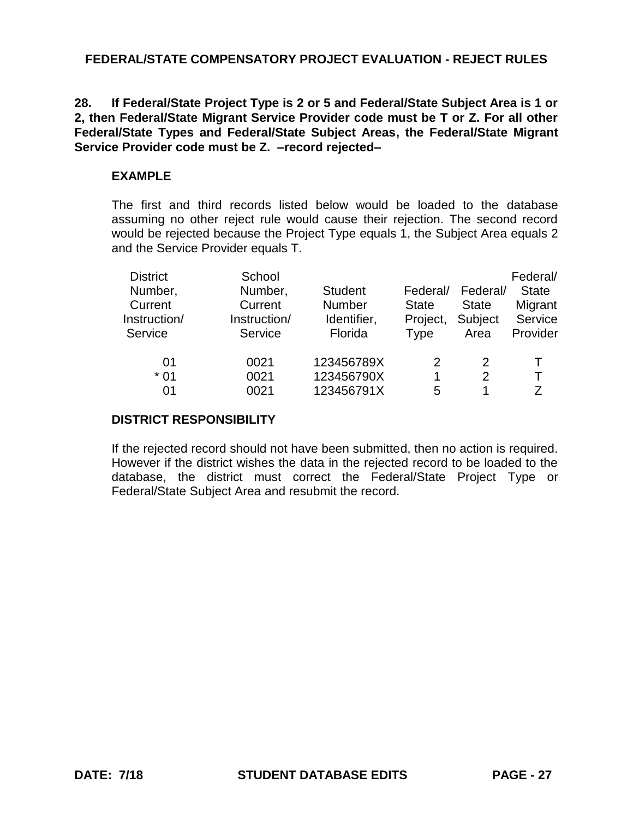**28. If Federal/State Project Type is 2 or 5 and Federal/State Subject Area is 1 or 2, then Federal/State Migrant Service Provider code must be T or Z. For all other Federal/State Types and Federal/State Subject Areas, the Federal/State Migrant Service Provider code must be Z. –record rejected–**

## **EXAMPLE**

The first and third records listed below would be loaded to the database assuming no other reject rule would cause their rejection. The second record would be rejected because the Project Type equals 1, the Subject Area equals 2 and the Service Provider equals T.

| <b>District</b><br>Number,<br>Current<br>Instruction/<br>Service | School<br>Number,<br>Current<br>Instruction/<br>Service | <b>Student</b><br>Number<br>Identifier,<br>Florida | Federal/<br><b>State</b><br>Project,<br><b>Type</b> | Federal/<br><b>State</b><br>Subject<br>Area | Federal/<br><b>State</b><br>Migrant<br>Service<br>Provider |
|------------------------------------------------------------------|---------------------------------------------------------|----------------------------------------------------|-----------------------------------------------------|---------------------------------------------|------------------------------------------------------------|
| 01                                                               | 0021                                                    | 123456789X                                         | 2                                                   | 2                                           | Τ                                                          |
| $*01$                                                            | 0021                                                    | 123456790X                                         | 1                                                   | 2                                           | т                                                          |
| 01                                                               | 0021                                                    | 123456791X                                         | 5                                                   |                                             | 7                                                          |

## **DISTRICT RESPONSIBILITY**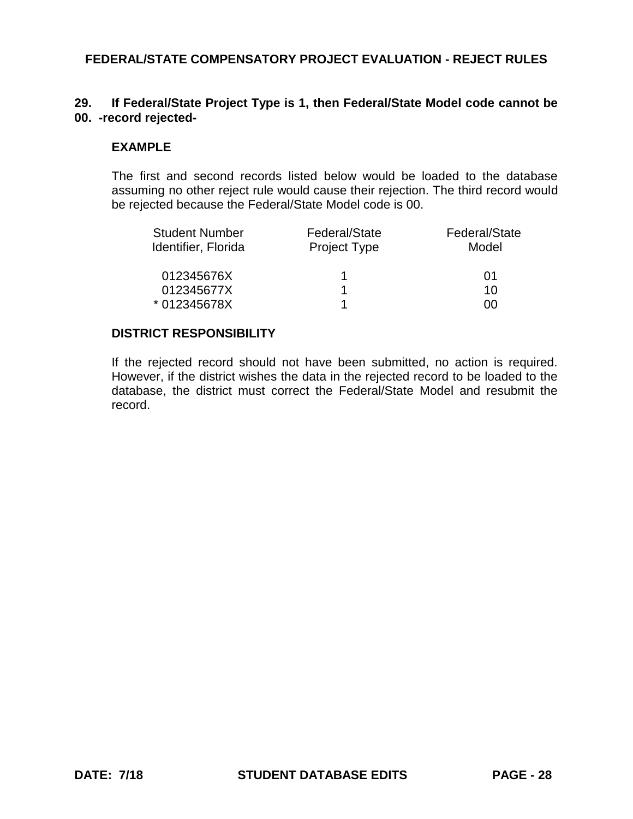## **29. If Federal/State Project Type is 1, then Federal/State Model code cannot be 00. -record rejected-**

### **EXAMPLE**

The first and second records listed below would be loaded to the database assuming no other reject rule would cause their rejection. The third record would be rejected because the Federal/State Model code is 00.

| <b>Student Number</b><br>Identifier, Florida | Federal/State<br>Project Type | Federal/State<br>Model |
|----------------------------------------------|-------------------------------|------------------------|
| 012345676X                                   |                               | 01                     |
| 012345677X                                   |                               | 10                     |
| * 012345678X                                 |                               | ന                      |

### **DISTRICT RESPONSIBILITY**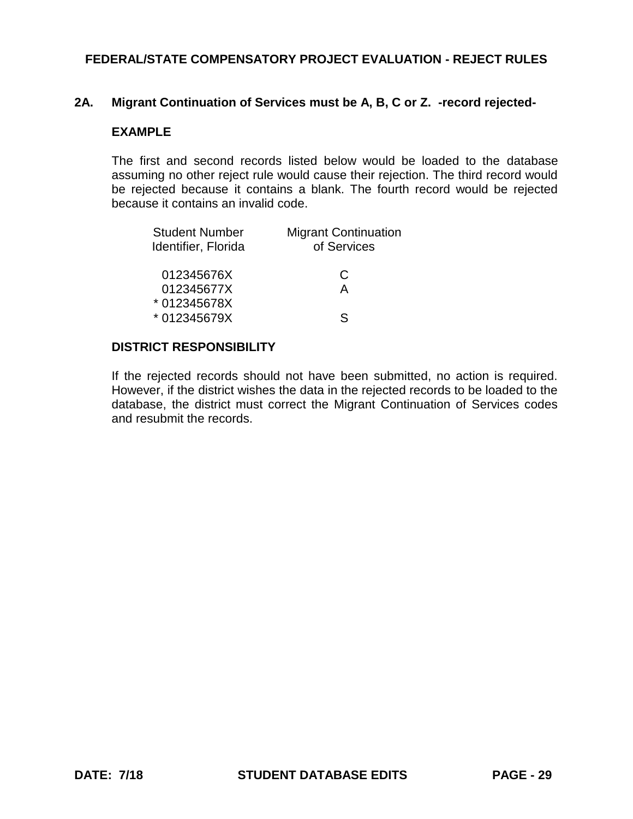### **2A. Migrant Continuation of Services must be A, B, C or Z. -record rejected-**

### **EXAMPLE**

The first and second records listed below would be loaded to the database assuming no other reject rule would cause their rejection. The third record would be rejected because it contains a blank. The fourth record would be rejected because it contains an invalid code.

| <b>Migrant Continuation</b><br>of Services |
|--------------------------------------------|
| C                                          |
| А                                          |
|                                            |
| ς                                          |
|                                            |

### **DISTRICT RESPONSIBILITY**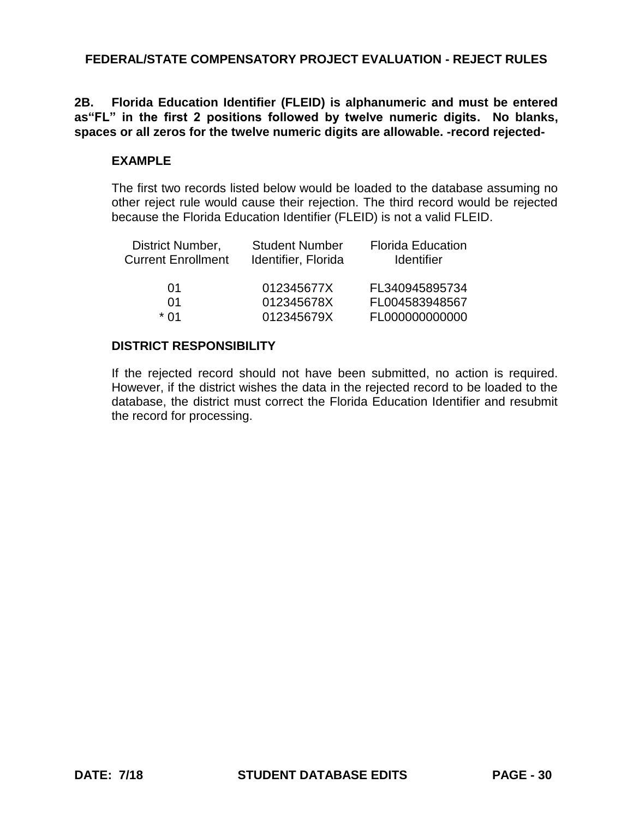**2B. Florida Education Identifier (FLEID) is alphanumeric and must be entered as"FL" in the first 2 positions followed by twelve numeric digits. No blanks, spaces or all zeros for the twelve numeric digits are allowable. -record rejected-**

## **EXAMPLE**

The first two records listed below would be loaded to the database assuming no other reject rule would cause their rejection. The third record would be rejected because the Florida Education Identifier (FLEID) is not a valid FLEID.

| District Number,<br><b>Current Enrollment</b> | <b>Student Number</b><br>Identifier, Florida | <b>Florida Education</b><br><b>Identifier</b> |
|-----------------------------------------------|----------------------------------------------|-----------------------------------------------|
| 01                                            | 012345677X                                   | FL340945895734                                |
| 01                                            | 012345678X                                   | FL004583948567                                |
| * በ1                                          | 012345679X                                   | FL000000000000                                |

## **DISTRICT RESPONSIBILITY**

If the rejected record should not have been submitted, no action is required. However, if the district wishes the data in the rejected record to be loaded to the database, the district must correct the Florida Education Identifier and resubmit the record for processing.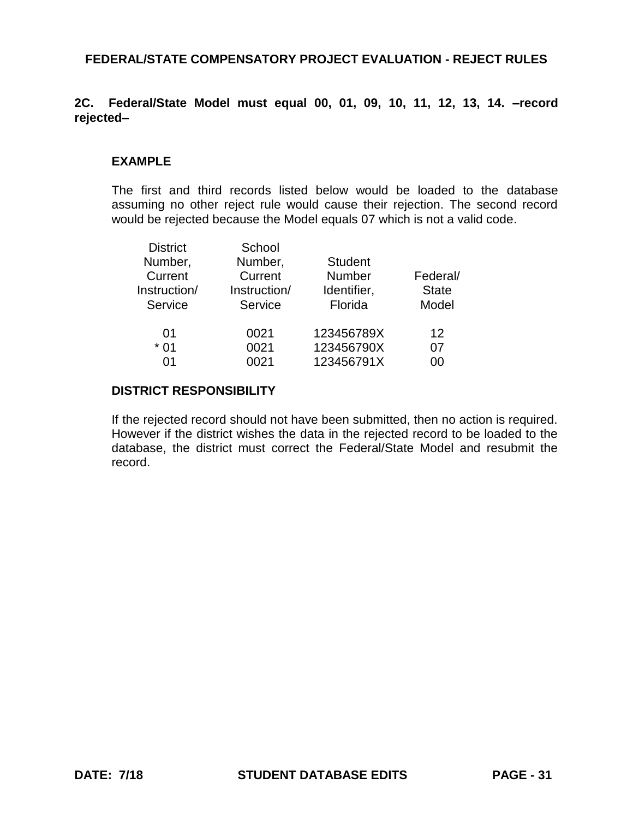## **2C. Federal/State Model must equal 00, 01, 09, 10, 11, 12, 13, 14. –record rejected–**

### **EXAMPLE**

The first and third records listed below would be loaded to the database assuming no other reject rule would cause their rejection. The second record would be rejected because the Model equals 07 which is not a valid code.

| <b>District</b> | School       |                |                   |  |
|-----------------|--------------|----------------|-------------------|--|
| Number,         | Number,      | <b>Student</b> |                   |  |
| Current         | Current      | <b>Number</b>  | Federal/          |  |
| Instruction/    | Instruction/ | Identifier,    | <b>State</b>      |  |
| Service         | Service      | Florida        | Model             |  |
| 01              | 0021         | 123456789X     | $12 \overline{ }$ |  |
| $*01$           | 0021         | 123456790X     | 07                |  |
| በ1              | 0021         | 123456791X     | იი                |  |

#### **DISTRICT RESPONSIBILITY**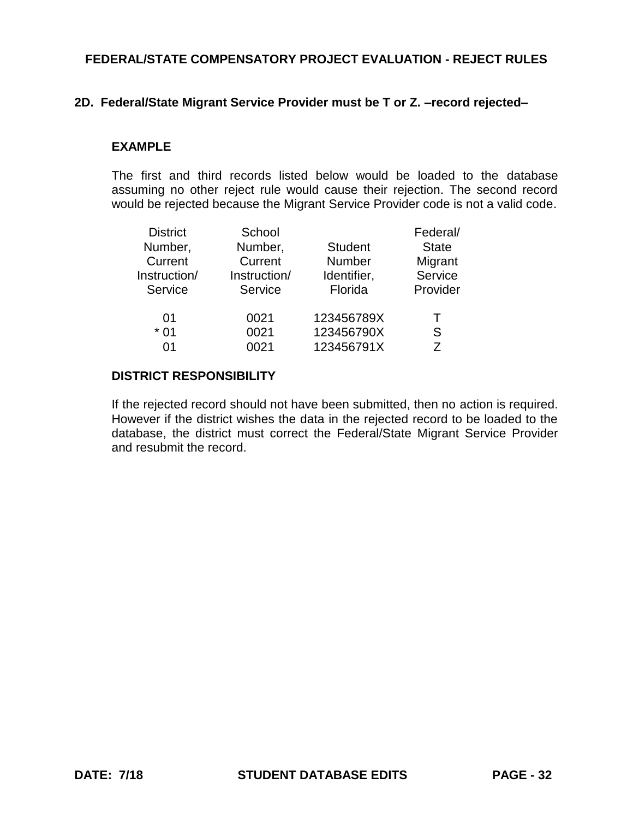### **2D. Federal/State Migrant Service Provider must be T or Z. –record rejected–**

#### **EXAMPLE**

The first and third records listed below would be loaded to the database assuming no other reject rule would cause their rejection. The second record would be rejected because the Migrant Service Provider code is not a valid code.

| <b>District</b> | School       |                | Federal/     |  |
|-----------------|--------------|----------------|--------------|--|
| Number,         | Number,      | <b>Student</b> | <b>State</b> |  |
| Current         | Current      | Number         | Migrant      |  |
| Instruction/    | Instruction/ | Identifier,    | Service      |  |
| Service         | Service      | Florida        | Provider     |  |
| 01              | 0021         | 123456789X     |              |  |
| $*01$           | 0021         | 123456790X     | S            |  |
| በ1              | 0021         | 123456791X     | 7            |  |

## **DISTRICT RESPONSIBILITY**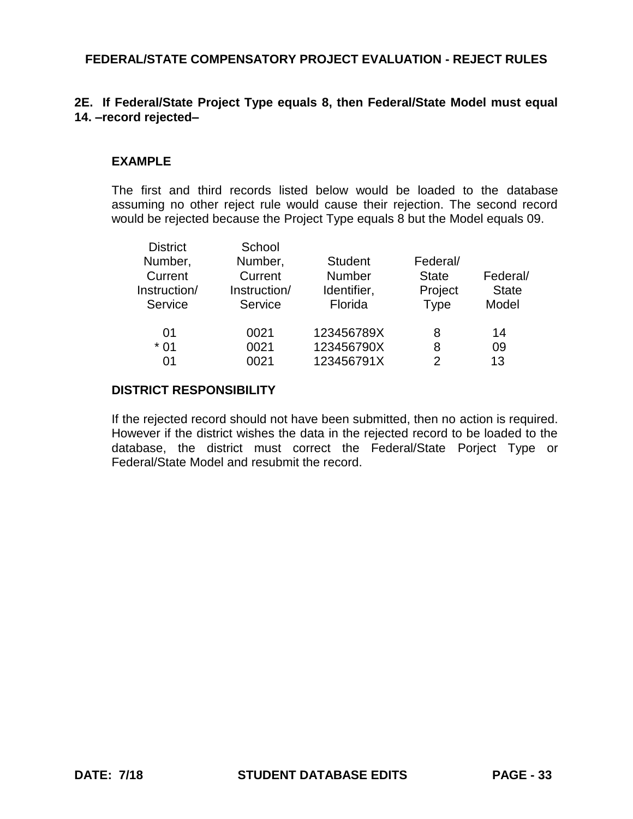## **2E. If Federal/State Project Type equals 8, then Federal/State Model must equal 14. –record rejected–**

### **EXAMPLE**

The first and third records listed below would be loaded to the database assuming no other reject rule would cause their rejection. The second record would be rejected because the Project Type equals 8 but the Model equals 09.

| Number,<br>Number,<br><b>Student</b><br>Federal/<br><b>Number</b><br>Current<br>Federal/<br>Current<br><b>State</b><br>Instruction/<br>Instruction/<br>Identifier,<br>Project<br><b>Type</b><br>Florida<br>Model<br>Service<br>Service |              |
|----------------------------------------------------------------------------------------------------------------------------------------------------------------------------------------------------------------------------------------|--------------|
|                                                                                                                                                                                                                                        |              |
|                                                                                                                                                                                                                                        |              |
|                                                                                                                                                                                                                                        | <b>State</b> |
|                                                                                                                                                                                                                                        |              |
| 123456789X<br>0021<br>14<br>01<br>8                                                                                                                                                                                                    |              |
| 123456790X<br>$*01$<br>0021<br>09<br>8                                                                                                                                                                                                 |              |
| 123456791X<br>13<br>0021<br>01<br>2                                                                                                                                                                                                    |              |

#### **DISTRICT RESPONSIBILITY**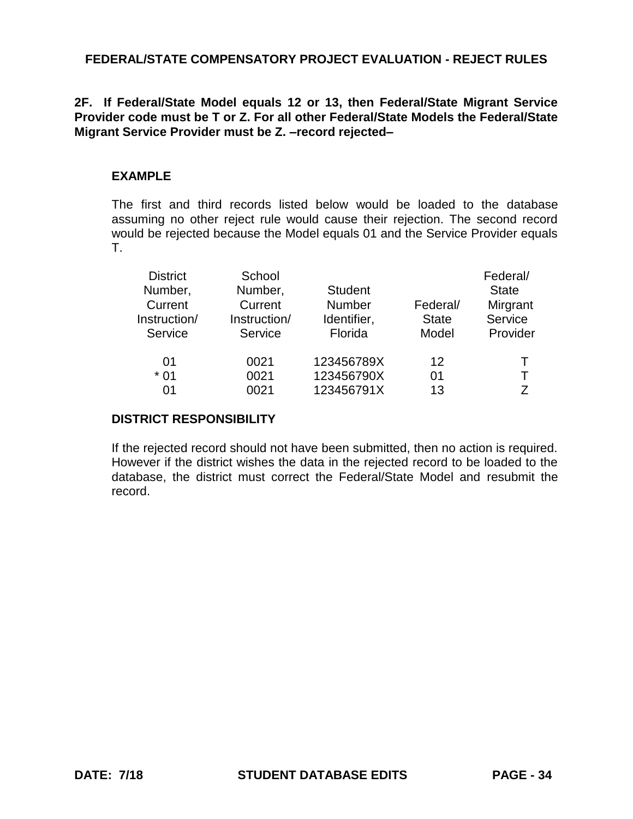## **2F. If Federal/State Model equals 12 or 13, then Federal/State Migrant Service Provider code must be T or Z. For all other Federal/State Models the Federal/State Migrant Service Provider must be Z. –record rejected–**

## **EXAMPLE**

The first and third records listed below would be loaded to the database assuming no other reject rule would cause their rejection. The second record would be rejected because the Model equals 01 and the Service Provider equals T.

| <b>District</b><br>Number,<br>Current<br>Instruction/<br>Service | School<br>Number,<br>Current<br>Instruction/<br>Service | <b>Student</b><br><b>Number</b><br>Identifier,<br>Florida | Federal/<br><b>State</b><br>Model | Federal/<br><b>State</b><br>Mirgrant<br>Service<br>Provider |
|------------------------------------------------------------------|---------------------------------------------------------|-----------------------------------------------------------|-----------------------------------|-------------------------------------------------------------|
| 01<br>$*01$<br>0 <sub>1</sub>                                    | 0021<br>0021<br>0021                                    | 123456789X<br>123456790X<br>123456791X                    | $12 \,$<br>01<br>13               | т<br>7                                                      |

## **DISTRICT RESPONSIBILITY**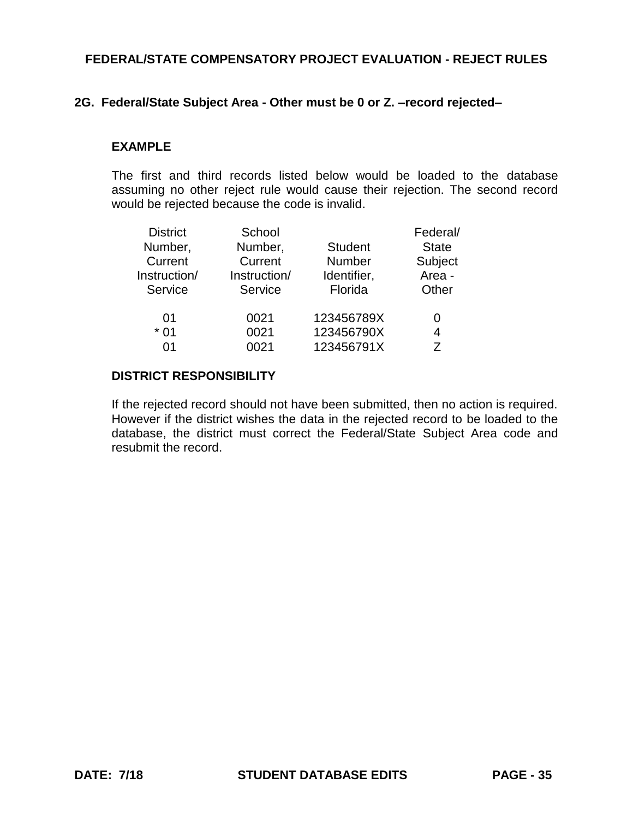### **2G. Federal/State Subject Area - Other must be 0 or Z. –record rejected–**

#### **EXAMPLE**

The first and third records listed below would be loaded to the database assuming no other reject rule would cause their rejection. The second record would be rejected because the code is invalid.

| <b>District</b> | School       |                | Federal/     |
|-----------------|--------------|----------------|--------------|
| Number,         | Number,      | <b>Student</b> | <b>State</b> |
| Current         | Current      | <b>Number</b>  | Subject      |
| Instruction/    | Instruction/ | Identifier,    | Area -       |
| Service         | Service      | Florida        | Other        |
| 01              | 0021         | 123456789X     | 0            |
| $*01$           | 0021         | 123456790X     | 4            |
| በ1              | 0021         | 123456791X     |              |

## **DISTRICT RESPONSIBILITY**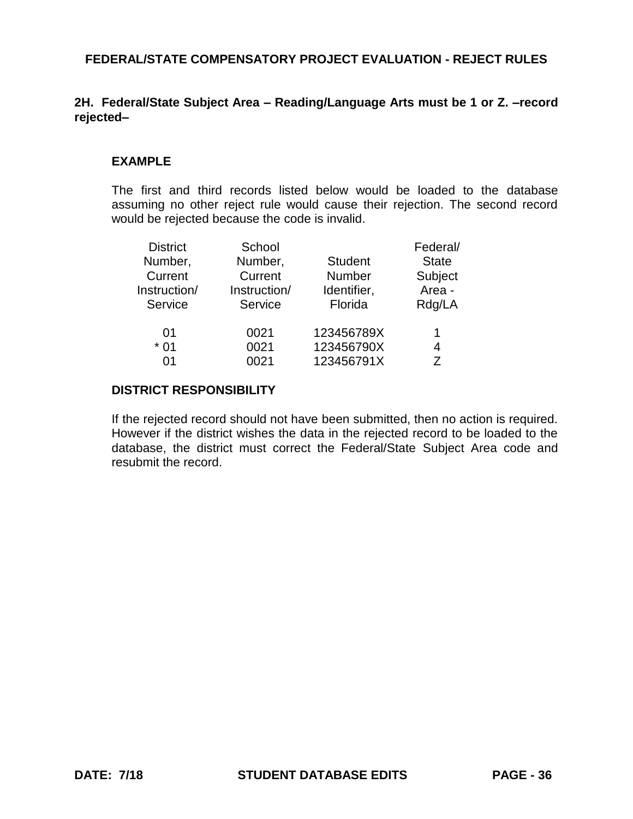# **2H. Federal/State Subject Area – Reading/Language Arts must be 1 or Z. –record rejected–**

## **EXAMPLE**

The first and third records listed below would be loaded to the database assuming no other reject rule would cause their rejection. The second record would be rejected because the code is invalid.

| <b>District</b><br>Number, | School<br>Number,       | <b>Student</b>               | Federal/<br><b>State</b> |  |
|----------------------------|-------------------------|------------------------------|--------------------------|--|
| Current<br>Instruction/    | Current<br>Instruction/ | <b>Number</b><br>Identifier, | Subject<br>Area -        |  |
| Service                    | Service                 | Florida                      | Rdg/LA                   |  |
| 01                         | 0021                    | 123456789X                   | 1                        |  |
| $*01$                      | 0021                    | 123456790X                   | 4                        |  |
| በ1                         | 0021                    | 123456791X                   | 7                        |  |

#### **DISTRICT RESPONSIBILITY**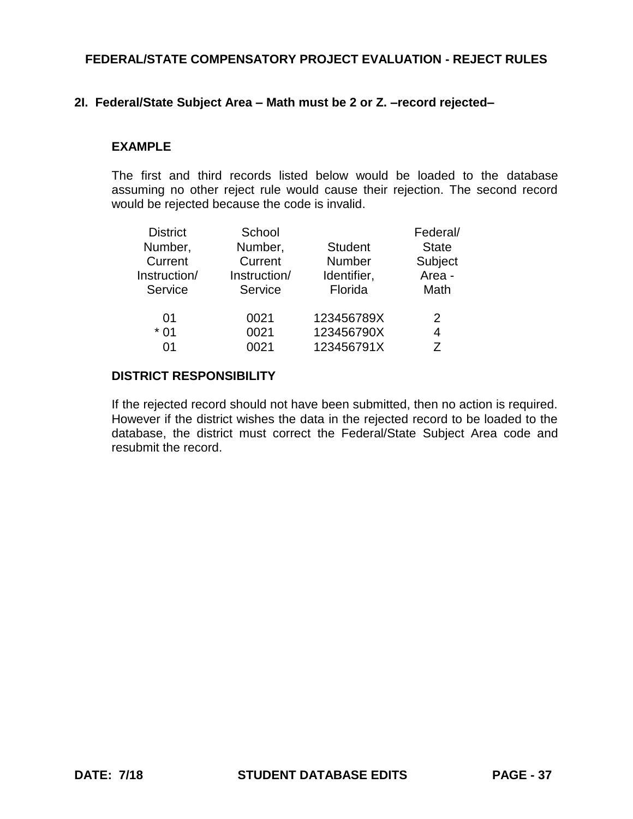## **2I. Federal/State Subject Area – Math must be 2 or Z. –record rejected–**

#### **EXAMPLE**

The first and third records listed below would be loaded to the database assuming no other reject rule would cause their rejection. The second record would be rejected because the code is invalid.

| <b>District</b> | School       |                | Federal/     |
|-----------------|--------------|----------------|--------------|
| Number,         | Number,      | <b>Student</b> | <b>State</b> |
| Current         | Current      | <b>Number</b>  | Subject      |
| Instruction/    | Instruction/ | Identifier,    | Area -       |
| Service         | Service      | Florida        | Math         |
| 01              | 0021         | 123456789X     | 2            |
| $*01$           | 0021         | 123456790X     | 4            |
| በ1              | 0021         | 123456791X     | 7            |

### **DISTRICT RESPONSIBILITY**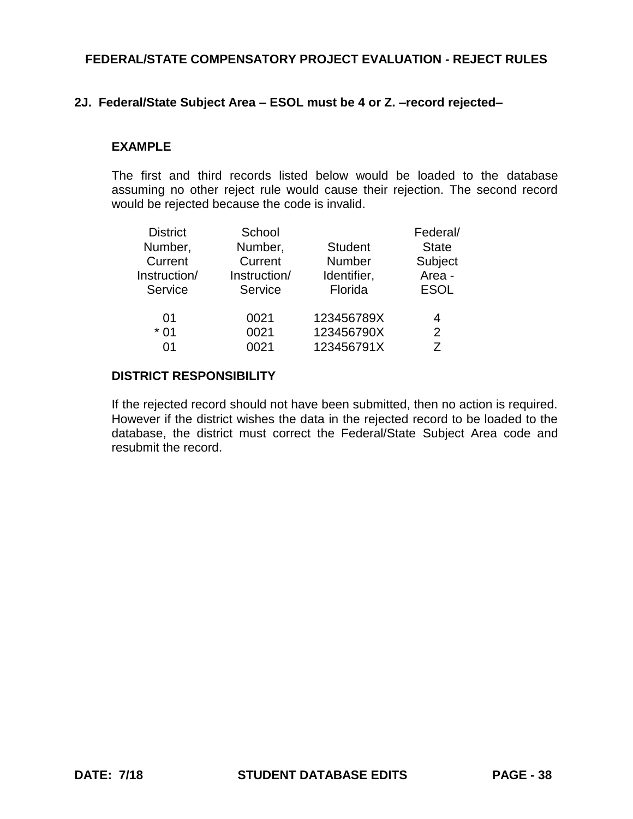# **2J. Federal/State Subject Area – ESOL must be 4 or Z. –record rejected–**

#### **EXAMPLE**

The first and third records listed below would be loaded to the database assuming no other reject rule would cause their rejection. The second record would be rejected because the code is invalid.

| <b>District</b> | School       |                | Federal/     |  |
|-----------------|--------------|----------------|--------------|--|
| Number,         | Number,      | <b>Student</b> | <b>State</b> |  |
| Current         | Current      | <b>Number</b>  | Subject      |  |
| Instruction/    | Instruction/ | Identifier,    | Area -       |  |
| Service         | Service      | Florida        | <b>ESOL</b>  |  |
| 01              | 0021         | 123456789X     | 4            |  |
| $*01$           | 0021         | 123456790X     | 2            |  |
| በ1              | 0021         | 123456791X     | 7            |  |

## **DISTRICT RESPONSIBILITY**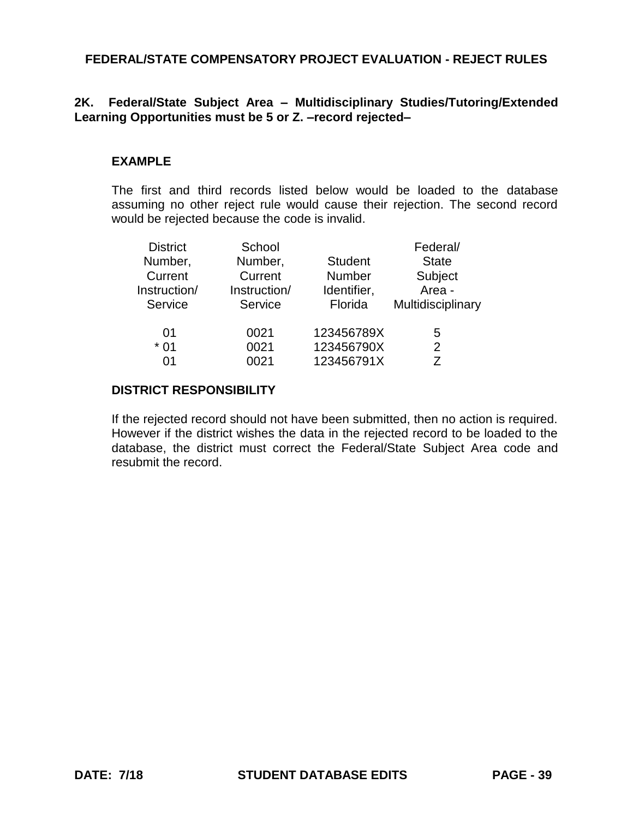## **2K. Federal/State Subject Area – Multidisciplinary Studies/Tutoring/Extended Learning Opportunities must be 5 or Z. –record rejected–**

## **EXAMPLE**

The first and third records listed below would be loaded to the database assuming no other reject rule would cause their rejection. The second record would be rejected because the code is invalid.

| <b>District</b><br>Number, | School<br>Number, | <b>Student</b> | Federal/<br><b>State</b> |
|----------------------------|-------------------|----------------|--------------------------|
| Current                    | Current           | <b>Number</b>  | Subject                  |
| Instruction/               | Instruction/      | Identifier,    | Area -                   |
| Service                    | Service           | Florida        | Multidisciplinary        |
| 01                         | 0021              | 123456789X     | 5                        |
| $*01$                      | 0021              | 123456790X     | $\overline{2}$           |
| በ1                         | 0021              | 123456791X     | 7                        |

#### **DISTRICT RESPONSIBILITY**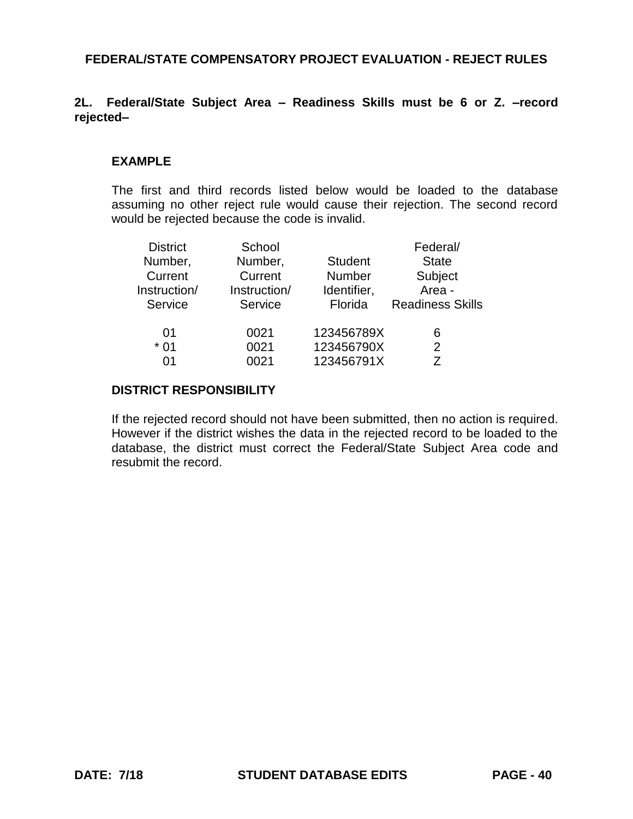## **2L. Federal/State Subject Area – Readiness Skills must be 6 or Z. –record rejected–**

### **EXAMPLE**

The first and third records listed below would be loaded to the database assuming no other reject rule would cause their rejection. The second record would be rejected because the code is invalid.

| <b>District</b><br>Number,<br>Current<br>Instruction/ | School<br>Number,<br>Current<br>Instruction/ | <b>Student</b><br><b>Number</b><br>Identifier, | Federal/<br><b>State</b><br>Subject<br>Area - |
|-------------------------------------------------------|----------------------------------------------|------------------------------------------------|-----------------------------------------------|
| Service                                               | Service                                      | Florida                                        | <b>Readiness Skills</b>                       |
| 01                                                    | 0021                                         | 123456789X                                     | 6                                             |
| $*01$                                                 | 0021                                         | 123456790X                                     | 2                                             |
| በ1                                                    | 0021                                         | 123456791X                                     |                                               |

#### **DISTRICT RESPONSIBILITY**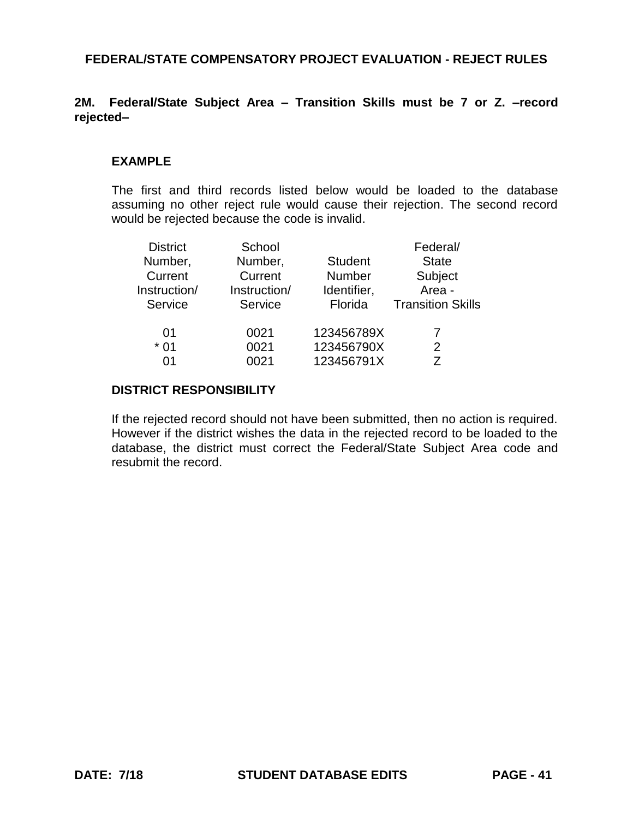## **2M. Federal/State Subject Area – Transition Skills must be 7 or Z. –record rejected–**

### **EXAMPLE**

The first and third records listed below would be loaded to the database assuming no other reject rule would cause their rejection. The second record would be rejected because the code is invalid.

| <b>District</b><br>Number,<br>Current<br>Instruction/ | School<br>Number,<br>Current<br>Instruction/ | <b>Student</b><br><b>Number</b><br>Identifier, | Federal/<br><b>State</b><br>Subject<br>Area - |
|-------------------------------------------------------|----------------------------------------------|------------------------------------------------|-----------------------------------------------|
| Service                                               | Service                                      | Florida                                        | <b>Transition Skills</b>                      |
| 01<br>$*01$<br>በ1                                     | 0021<br>0021<br>0021                         | 123456789X<br>123456790X<br>123456791X         | 2<br>7                                        |

#### **DISTRICT RESPONSIBILITY**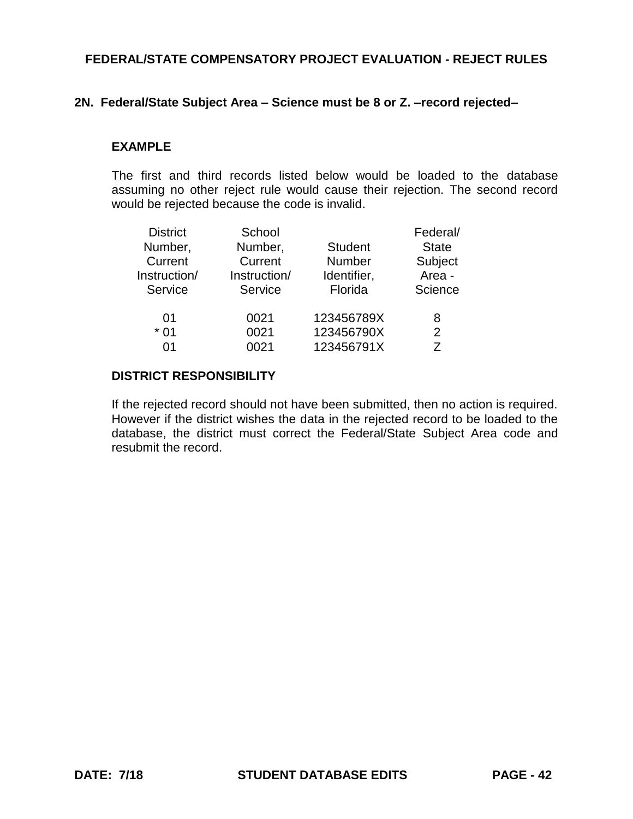### **2N. Federal/State Subject Area – Science must be 8 or Z. –record rejected–**

#### **EXAMPLE**

The first and third records listed below would be loaded to the database assuming no other reject rule would cause their rejection. The second record would be rejected because the code is invalid.

| <b>District</b> | School       |                | Federal/     |
|-----------------|--------------|----------------|--------------|
| Number,         | Number,      | <b>Student</b> | <b>State</b> |
| Current         | Current      | <b>Number</b>  | Subject      |
| Instruction/    | Instruction/ | Identifier,    | Area -       |
| Service         | Service      | Florida        | Science      |
| 01              | 0021         | 123456789X     | 8            |
| $*01$           | 0021         | 123456790X     | 2            |
| በ1              | 0021         | 123456791X     | 7            |

## **DISTRICT RESPONSIBILITY**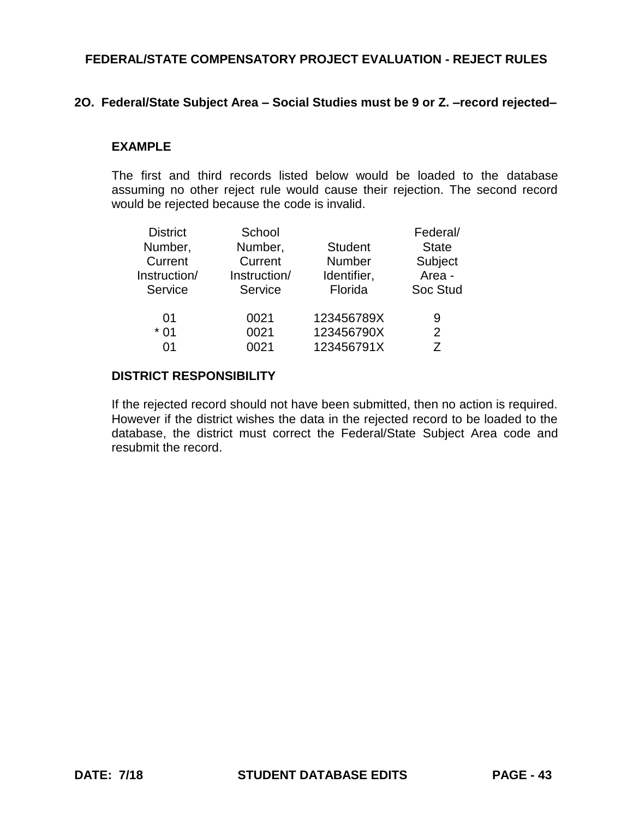### **2O. Federal/State Subject Area – Social Studies must be 9 or Z. –record rejected–**

#### **EXAMPLE**

The first and third records listed below would be loaded to the database assuming no other reject rule would cause their rejection. The second record would be rejected because the code is invalid.

| <b>District</b> | School       |                | Federal/     |
|-----------------|--------------|----------------|--------------|
| Number,         | Number,      | <b>Student</b> | <b>State</b> |
| Current         | Current      | <b>Number</b>  | Subject      |
| Instruction/    | Instruction/ | Identifier,    | Area -       |
| Service         | Service      | Florida        | Soc Stud     |
| 01              | 0021         | 123456789X     | 9            |
| $*01$           | 0021         | 123456790X     | 2            |
| በ1              | 0021         | 123456791X     | 7            |

## **DISTRICT RESPONSIBILITY**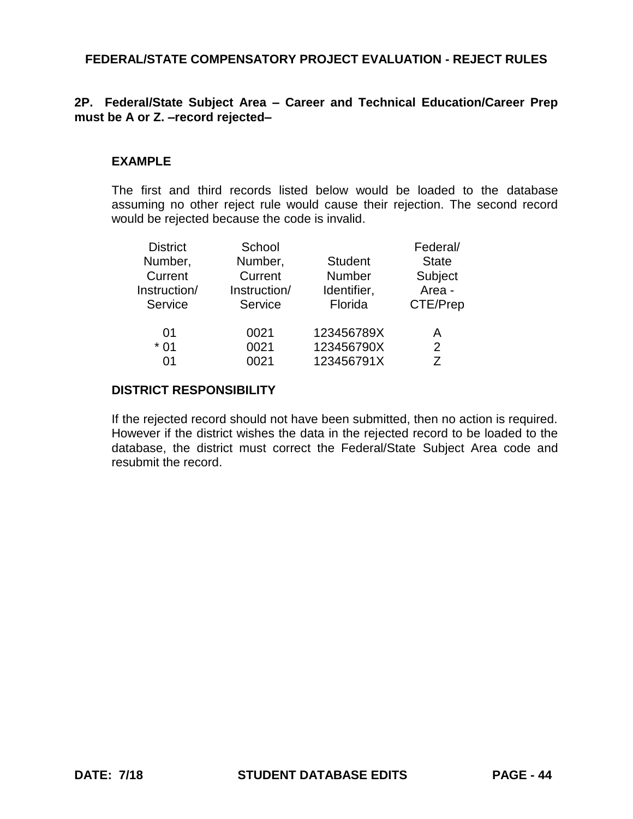# **2P. Federal/State Subject Area – Career and Technical Education/Career Prep must be A or Z. –record rejected–**

## **EXAMPLE**

The first and third records listed below would be loaded to the database assuming no other reject rule would cause their rejection. The second record would be rejected because the code is invalid.

| <b>District</b><br>Number,<br>Current<br>Instruction/<br>Service | School<br>Number,<br>Current<br>Instruction/<br>Service | <b>Student</b><br><b>Number</b><br>Identifier,<br>Florida | Federal/<br><b>State</b><br>Subject<br>Area -<br>CTE/Prep |  |
|------------------------------------------------------------------|---------------------------------------------------------|-----------------------------------------------------------|-----------------------------------------------------------|--|
| 01                                                               | 0021                                                    | 123456789X                                                | A                                                         |  |
| $*01$                                                            | 0021                                                    | 123456790X                                                | 2                                                         |  |
| በ1                                                               | 0021                                                    | 123456791X                                                | 7                                                         |  |

#### **DISTRICT RESPONSIBILITY**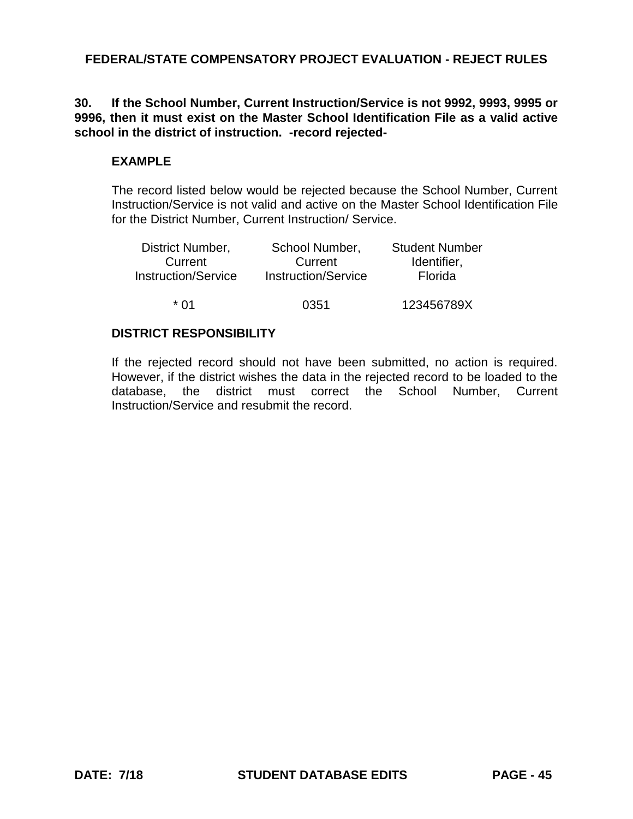## **30. If the School Number, Current Instruction/Service is not 9992, 9993, 9995 or 9996, then it must exist on the Master School Identification File as a valid active school in the district of instruction. -record rejected-**

## **EXAMPLE**

The record listed below would be rejected because the School Number, Current Instruction/Service is not valid and active on the Master School Identification File for the District Number, Current Instruction/ Service.

| District Number,    | School Number,             | <b>Student Number</b> |  |
|---------------------|----------------------------|-----------------------|--|
| Current             | Current                    | Identifier,           |  |
| Instruction/Service | <b>Instruction/Service</b> | Florida               |  |
| * በ1                | 0351                       | 123456789X            |  |

### **DISTRICT RESPONSIBILITY**